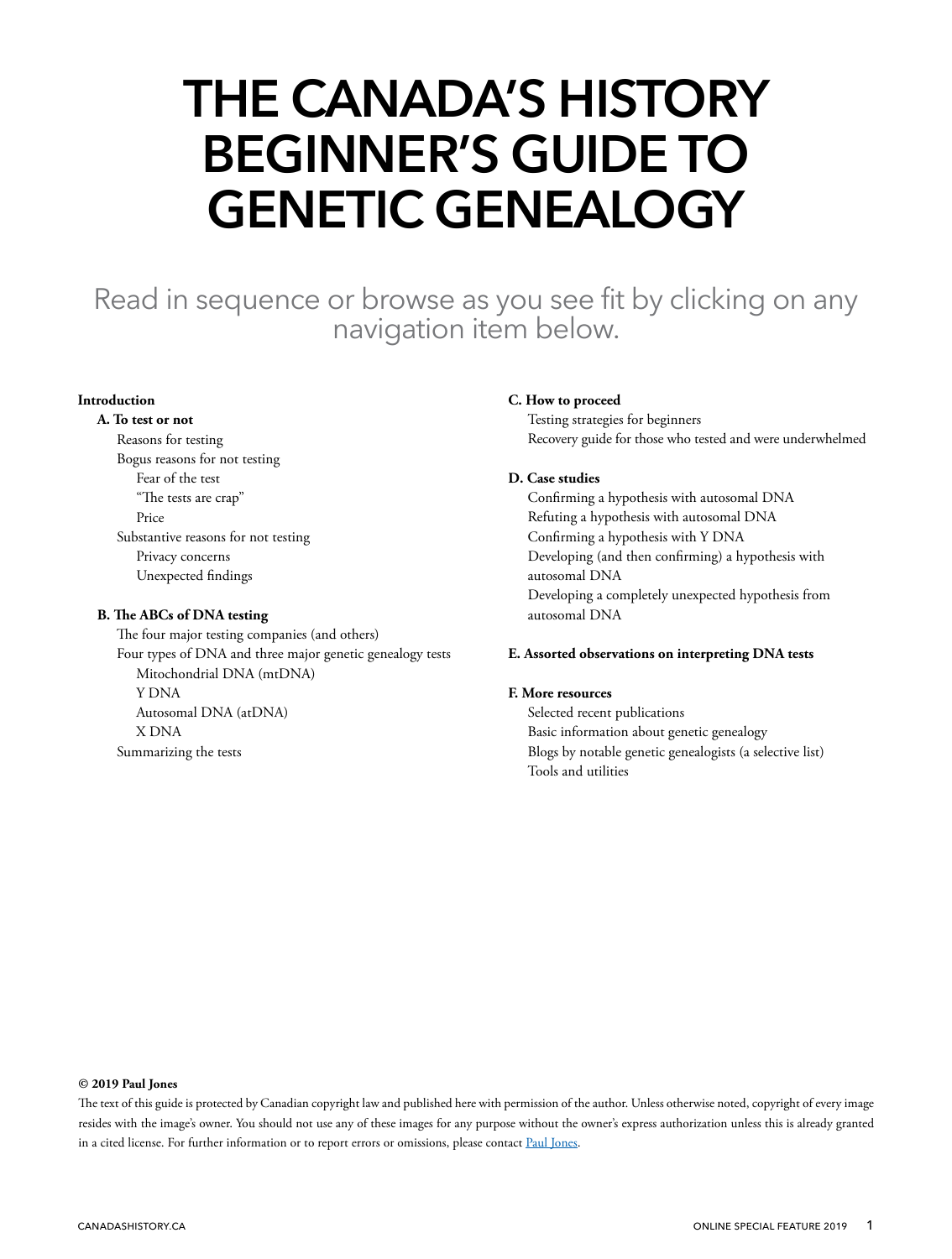# **THE CANADA'S HISTORY BEGINNER'S GUIDE TO GENETIC GENEALOGY**

Read in sequence or browse as you see fit by clicking on any navigation item below.

#### **[Introduction](#page-1-0)**

#### **[A. To test or not](#page-2-0)**

 [Reasons for testing](#page-2-0) [Bogus reasons for not testing](#page-2-0) [Fear of the test](#page-2-0) ["The tests are crap"](#page-2-0) [Price](#page-3-0) [Substantive reasons for not testing](#page-3-0) [Privacy concerns](#page-3-0) [Unexpected findings](#page-3-0)

#### **[B. The ABCs of DNA testing](#page-6-0)**

 [The four major testing companies \(and others\)](#page-6-0) [Four types of DNA and three major genetic genealogy tests](#page-7-0) [Mitochondrial DNA \(mtDNA\)](#page-7-0) [Y DNA](#page-8-0) [Autosomal DNA \(atDNA\)](#page-8-0) [X DNA](#page-9-0) [Summarizing the tests](#page-10-0)

#### **[C. How to proceed](#page-11-0)**

 [Testing strategies for beginners](#page-11-0) [Recovery guide for those who tested and were underwhelmed](#page-12-0)

#### **[D. Case studies](#page-13-0)**

 [Confirming a hypothesis with autosomal DNA](#page-13-0) [Refuting a hypothesis with autosomal DNA](#page-13-0) [Confirming a hypothesis with Y DNA](#page-13-0) [Developing \(and then confirming\) a hypothesis with](#page-14-0)  [autosomal DNA](#page-14-0) [Developing a completely unexpected hypothesis from](#page-14-0)  [autosomal DNA](#page-14-0)

#### **[E. Assorted observations on interpreting DNA tests](#page-15-0)**

#### **[F. M](#page-17-0)ore resources**

 [Selected recent publications](#page-17-0) [Basic information about genetic genealogy](#page-17-0) [Blogs by notable genetic genealogists \(a selective list\)](#page-17-0) [Tools and utilities](#page-17-0)

#### **© 2019 Paul Jones**

The text of this guide is protected by Canadian copyright law and published here with permission of the author. Unless otherwise noted, copyright of every image resides with the image's owner. You should not use any of these images for any purpose without the owner's express authorization unless this is already granted in a cited license. For further information or to report errors or omissions, please contact [Paul Jones.](mailto:paul%40genealogyjones.com?subject=re%3A%20Canada%27s%20History%20Beginner%27s%20Guide%20to%20Genetic%20Genealogy)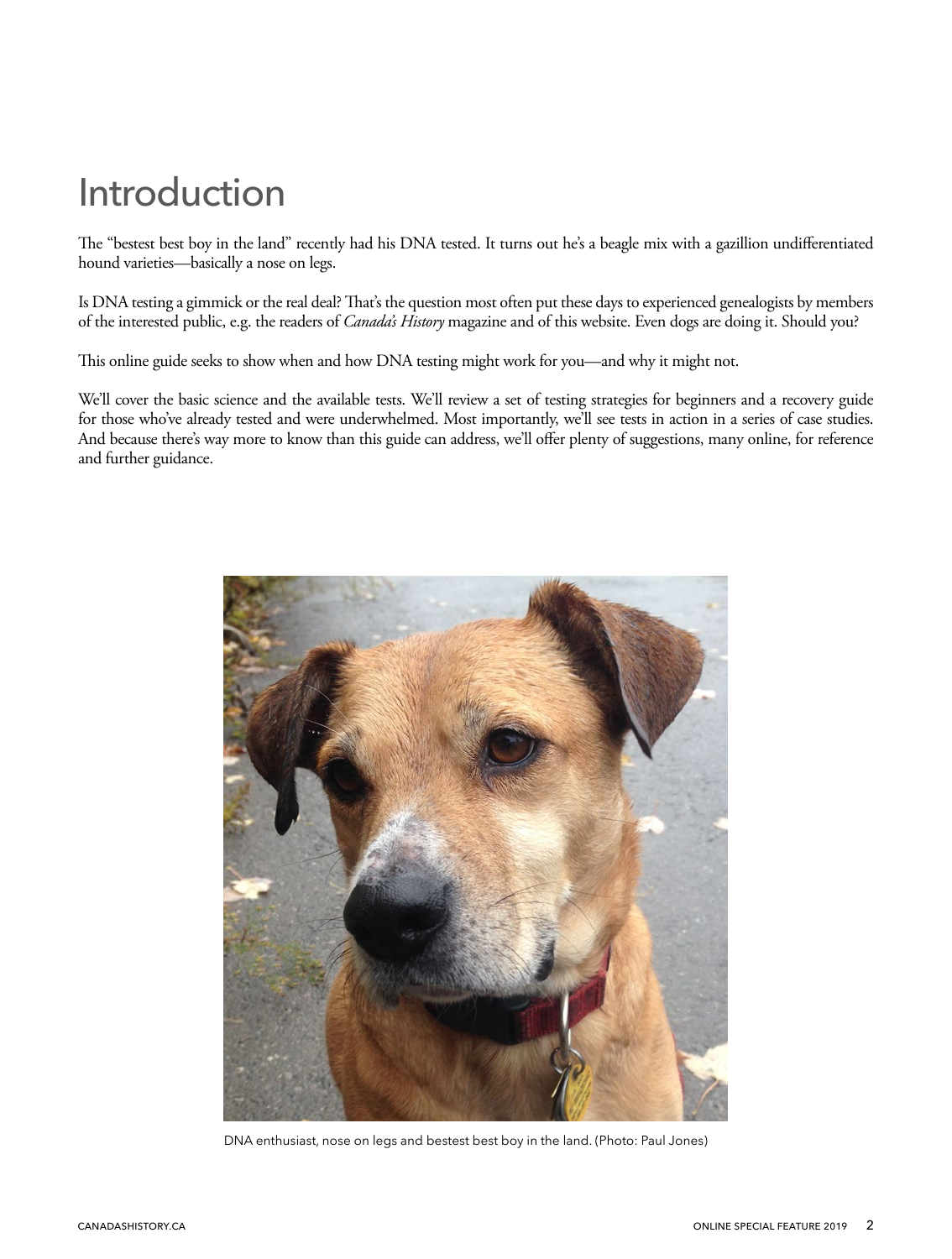# <span id="page-1-0"></span>Introduction

The "bestest best boy in the land" recently had his DNA tested. It turns out he's a beagle mix with a gazillion undifferentiated hound varieties—basically a nose on legs.

Is DNA testing a gimmick or the real deal? That's the question most often put these days to experienced genealogists by members of the interested public, e.g. the readers of *Canada's History* magazine and of this website. Even dogs are doing it. Should you?

This online guide seeks to show when and how DNA testing might work for you—and why it might not.

We'll cover the basic science and the available tests. We'll review a set of testing strategies for beginners and a recovery guide for those who've already tested and were underwhelmed. Most importantly, we'll see tests in action in a series of case studies. And because there's way more to know than this guide can address, we'll offer plenty of suggestions, many online, for reference and further guidance.



DNA enthusiast, nose on legs and bestest best boy in the land. (Photo: Paul Jones)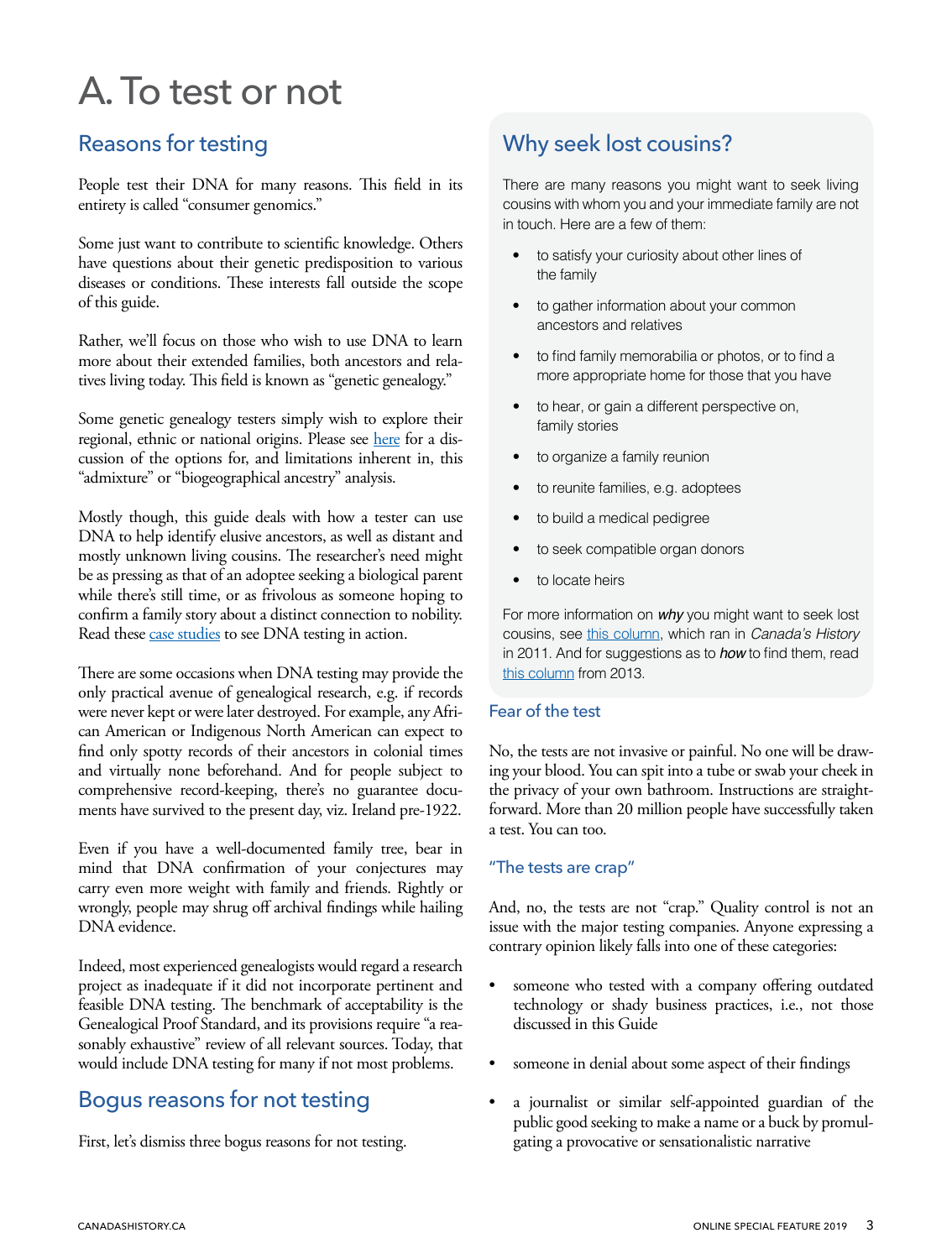# <span id="page-2-0"></span>A. To test or not

## Reasons for testing

People test their DNA for many reasons. This field in its entirety is called "consumer genomics."

Some just want to contribute to scientific knowledge. Others have questions about their genetic predisposition to various diseases or conditions. These interests fall outside the scope of this guide.

Rather, we'll focus on those who wish to use DNA to learn more about their extended families, both ancestors and relatives living today. This field is known as "genetic genealogy."

Some genetic genealogy testers simply wish to explore their regional, ethnic or national origins. Please see [here](#page-3-0) for a discussion of the options for, and limitations inherent in, this "admixture" or "biogeographical ancestry" analysis.

Mostly though, this guide deals with how a tester can use DNA to help identify elusive ancestors, as well as distant and mostly unknown living cousins. The researcher's need might be as pressing as that of an adoptee seeking a biological parent while there's still time, or as frivolous as someone hoping to confirm a family story about a distinct connection to nobility. Read these [case studies](#page-13-0) to see DNA testing in action.

There are some occasions when DNA testing may provide the only practical avenue of genealogical research, e.g. if records were never kept or were later destroyed. For example, any African American or Indigenous North American can expect to find only spotty records of their ancestors in colonial times and virtually none beforehand. And for people subject to comprehensive record-keeping, there's no guarantee documents have survived to the present day, viz. Ireland pre-1922.

Even if you have a well-documented family tree, bear in mind that DNA confirmation of your conjectures may carry even more weight with family and friends. Rightly or wrongly, people may shrug off archival findings while hailing DNA evidence.

Indeed, most experienced genealogists would regard a research project as inadequate if it did not incorporate pertinent and feasible DNA testing. The benchmark of acceptability is the Genealogical Proof Standard, and its provisions require "a reasonably exhaustive" review of all relevant sources. Today, that would include DNA testing for many if not most problems.

## Bogus reasons for not testing

First, let's dismiss three bogus reasons for not testing.

## Why seek lost cousins?

There are many reasons you might want to seek living cousins with whom you and your immediate family are not in touch. Here are a few of them:

- to satisfy your curiosity about other lines of the family
- to gather information about your common ancestors and relatives
- to find family memorabilia or photos, or to find a more appropriate home for those that you have
- to hear, or gain a different perspective on, family stories
- to organize a family reunion
- to reunite families, e.g. adoptees
- to build a medical pedigree
- to seek compatible organ donors
- to locate heirs

For more information on *why* you might want to seek lost cousins, see [this column](https://www.canadashistory.ca/explore/genealogy/roots-combing-for-cousins), which ran in *Canada's History*  in 2011. And for suggestions as to *how* to find them, read [this column](https://www.canadashistory.ca/explore/genealogy/roots-finding-family) from 2013.

#### Fear of the test

No, the tests are not invasive or painful. No one will be drawing your blood. You can spit into a tube or swab your cheek in the privacy of your own bathroom. Instructions are straightforward. More than 20 million people have successfully taken a test. You can too.

#### "The tests are crap"

And, no, the tests are not "crap." Quality control is not an issue with the major testing companies. Anyone expressing a contrary opinion likely falls into one of these categories:

- someone who tested with a company offering outdated technology or shady business practices, i.e., not those discussed in this Guide
- someone in denial about some aspect of their findings
- a journalist or similar self-appointed guardian of the public good seeking to make a name or a buck by promulgating a provocative or sensationalistic narrative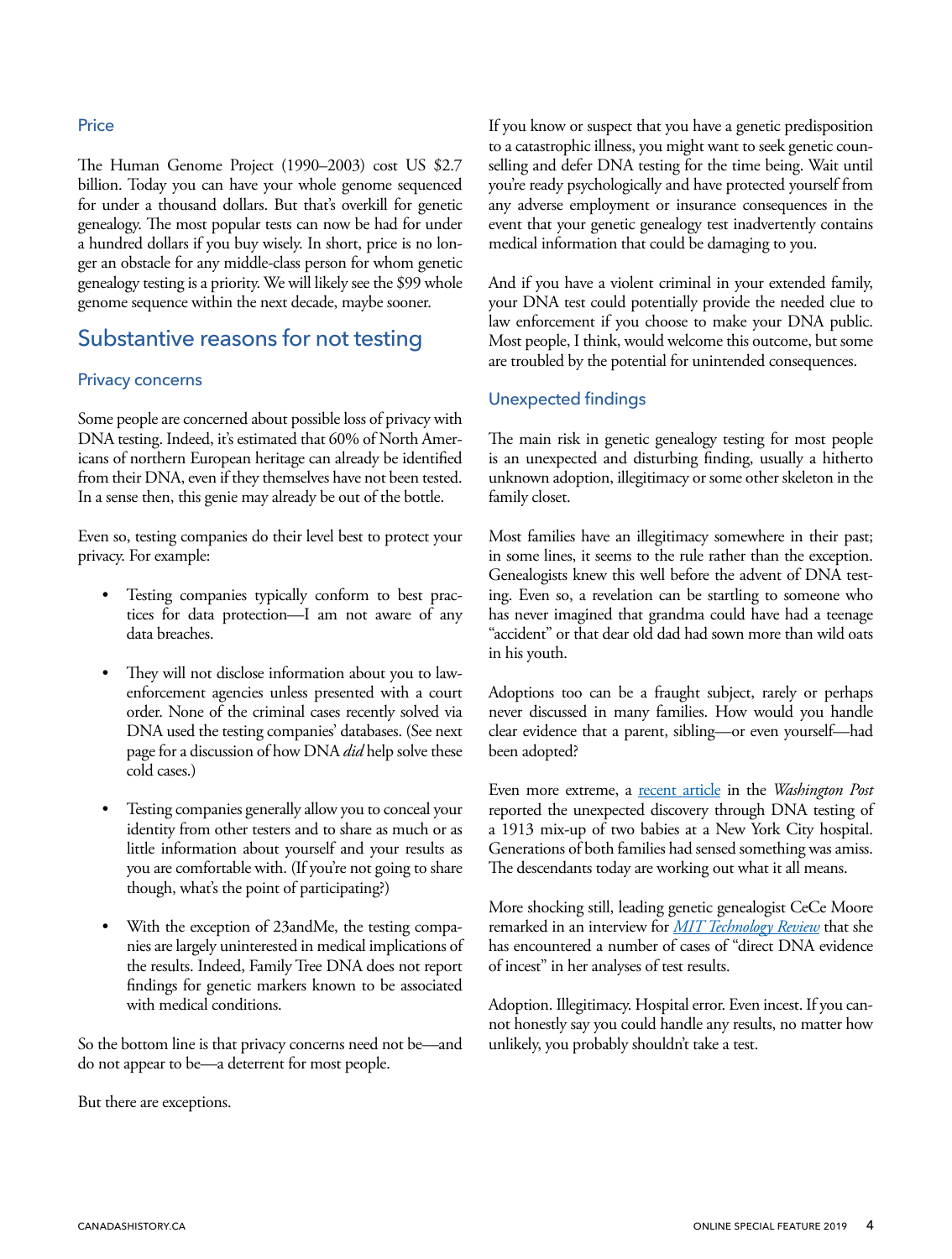#### <span id="page-3-0"></span>**Price**

The Human Genome Project (1990–2003) cost US \$2.7 billion. Today you can have your whole genome sequenced for under a thousand dollars. But that's overkill for genetic genealogy. The most popular tests can now be had for under a hundred dollars if you buy wisely. In short, price is no longer an obstacle for any middle-class person for whom genetic genealogy testing is a priority. We will likely see the \$99 whole genome sequence within the next decade, maybe sooner.

## Substantive reasons for not testing

#### Privacy concerns

Some people are concerned about possible loss of privacy with DNA testing. Indeed, it's estimated that 60% of North Americans of northern European heritage can already be identified from their DNA, even if they themselves have not been tested. In a sense then, this genie may already be out of the bottle.

Even so, testing companies do their level best to protect your privacy. For example:

- Testing companies typically conform to best practices for data protection—I am not aware of any data breaches.
- They will not disclose information about you to lawenforcement agencies unless presented with a court order. None of the criminal cases recently solved via DNA used the testing companies' databases. (See next page for a discussion of how DNA *did* help solve these cold cases.)
- Testing companies generally allow you to conceal your identity from other testers and to share as much or as little information about yourself and your results as you are comfortable with. (If you're not going to share though, what's the point of participating?)
- With the exception of 23andMe, the testing companies are largely uninterested in medical implications of the results. Indeed, Family Tree DNA does not report findings for genetic markers known to be associated with medical conditions.

So the bottom line is that privacy concerns need not be—and do not appear to be—a deterrent for most people.

But there are exceptions.

If you know or suspect that you have a genetic predisposition to a catastrophic illness, you might want to seek genetic counselling and defer DNA testing for the time being. Wait until you're ready psychologically and have protected yourself from any adverse employment or insurance consequences in the event that your genetic genealogy test inadvertently contains medical information that could be damaging to you.

And if you have a violent criminal in your extended family, your DNA test could potentially provide the needed clue to law enforcement if you choose to make your DNA public. Most people, I think, would welcome this outcome, but some are troubled by the potential for unintended consequences.

#### Unexpected findings

The main risk in genetic genealogy testing for most people is an unexpected and disturbing finding, usually a hitherto unknown adoption, illegitimacy or some other skeleton in the family closet.

Most families have an illegitimacy somewhere in their past; in some lines, it seems to the rule rather than the exception. Genealogists knew this well before the advent of DNA testing. Even so, a revelation can be startling to someone who has never imagined that grandma could have had a teenage "accident" or that dear old dad had sown more than wild oats in his youth.

Adoptions too can be a fraught subject, rarely or perhaps never discussed in many families. How would you handle clear evidence that a parent, sibling—or even yourself—had been adopted?

Even more extreme, a **recent article** in the *Washington Post* reported the unexpected discovery through DNA testing of a 1913 mix-up of two babies at a New York City hospital. Generations of both families had sensed something was amiss. The descendants today are working out what it all means.

More shocking still, leading genetic genealogist CeCe Moore remarked in an interview for *[MIT Technology Review](https://www.technologyreview.com/s/611529/the-citizen-scientist-who-finds-killers-from-her-couch/)* that she has encountered a number of cases of "direct DNA evidence of incest" in her analyses of test results.

Adoption. Illegitimacy. Hospital error. Even incest. If you cannot honestly say you could handle any results, no matter how unlikely, you probably shouldn't take a test.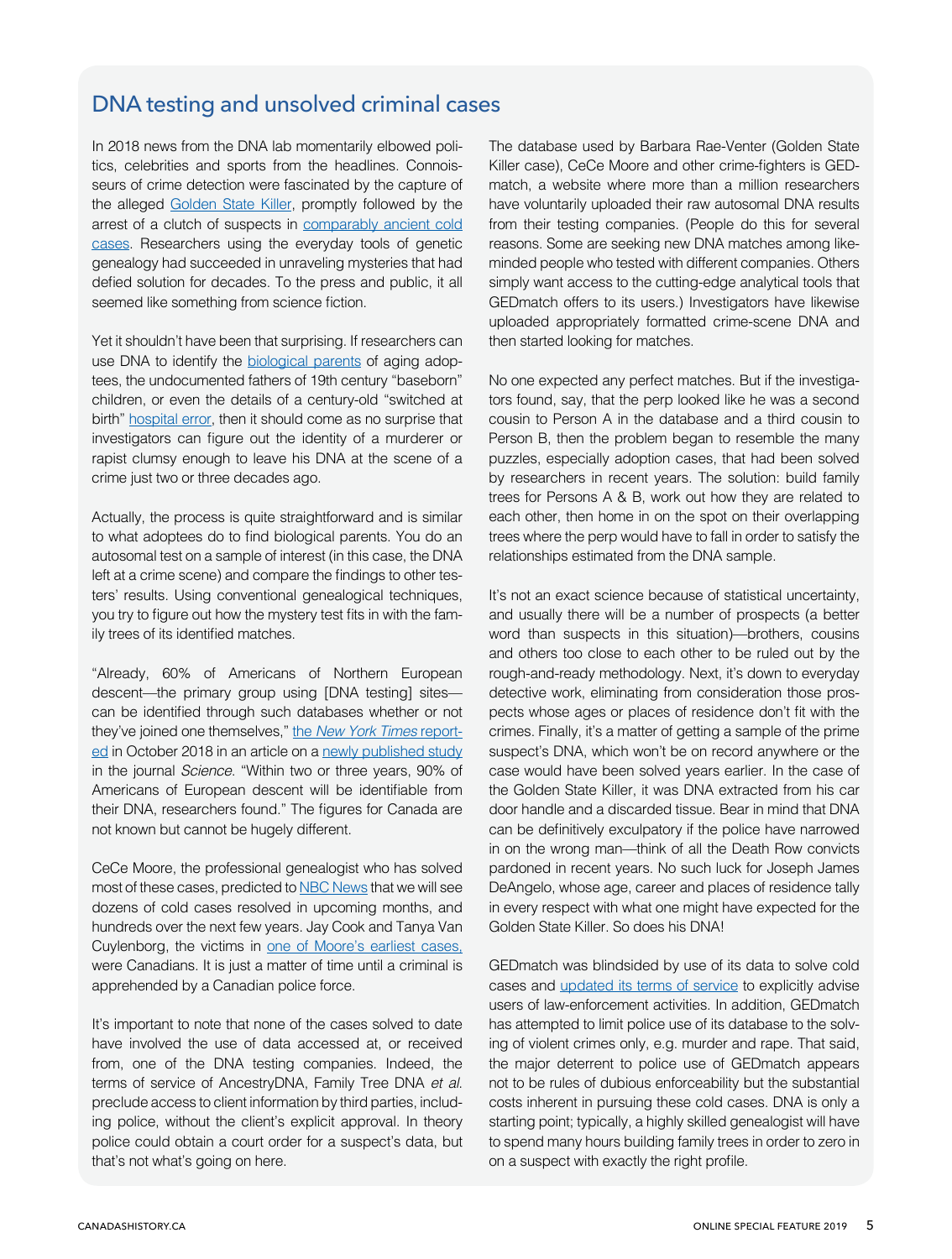## DNA testing and unsolved criminal cases

In 2018 news from the DNA lab momentarily elbowed politics, celebrities and sports from the headlines. Connoisseurs of crime detection were fascinated by the capture of the alleged [Golden State Killer](https://www.washingtonpost.com/local/public-safety/to-find-alleged-golden-state-killer-investigators-first-found-his-great-great-great-grandparents/2018/04/30/3c865fe7-dfcc-4a0e-b6b2-0bec548d501f_story.html?utm_term=.180e8213d8b0), promptly followed by the arrest of a clutch of suspects in [comparably](https://www.cnn.com/2018/08/03/health/dna-genealogy-cold-cases-trnd/index.html) ancient cold [cases.](https://www.cnn.com/2018/08/03/health/dna-genealogy-cold-cases-trnd/index.html) Researchers using the everyday tools of genetic genealogy had succeeded in unraveling mysteries that had defied solution for decades. To the press and public, it all seemed like something from science fiction.

Yet it shouldn't have been that surprising. If researchers can use DNA to identify the [biological](https://www.cyndislist.com/dna/) parents of aging adoptees, the undocumented fathers of 19th century "baseborn" children, or even the details of a century-old "switched at birth" [hospital](https://www.washingtonpost.com/graphics/2017/lifestyle/she-thought-she-was-irish-until-a-dna-test-opened-a-100-year-old-mystery/?utm_term=.d521a4cb4332) error, then it should come as no surprise that investigators can figure out the identity of a murderer or rapist clumsy enough to leave his DNA at the scene of a crime just two or three decades ago.

Actually, the process is quite straightforward and is similar to what adoptees do to find biological parents. You do an autosomal test on a sample of interest (in this case, the DNA left at a crime scene) and compare the findings to other testers' results. Using conventional genealogical techniques, you try to figure out how the mystery test fits in with the family trees of its identified matches.

"Already, 60% of Americans of Northern European descent—the primary group using [DNA testing] sites can be identified through such databases whether or not they've joined one themselves," the *[New York Times](https://www.nytimes.com/2018/10/11/science/science-genetic-genealogy-study.html)* report[ed](https://www.nytimes.com/2018/10/11/science/science-genetic-genealogy-study.html) in October 2018 in an article on a newly [published](http://science.sciencemag.org/content/early/2018/10/10/science.aau4832) study in the journal *Science*. "Within two or three years, 90% of Americans of European descent will be identifiable from their DNA, researchers found." The figures for Canada are not known but cannot be hugely different.

CeCe Moore, the professional genealogist who has solved most of these cases, predicted to NBC [News](https://www.nbcnews.com/news/us-news/just-beginning-using-dna-genealogy-crack-years-old-cold-cases-n892126) that we will see dozens of cold cases resolved in upcoming months, and hundreds over the next few years. Jay Cook and Tanya Van Cuylenborg, the victims in one of [Moore's](https://www.timescolonist.com/news/local/man-arrested-in-connection-with-1987-killings-of-saanich-couple-in-washington-state-1.23307256) earliest cases, were Canadians. It is just a matter of time until a criminal is apprehended by a Canadian police force.

It's important to note that none of the cases solved to date have involved the use of data accessed at, or received from, one of the DNA testing companies. Indeed, the terms of service of AncestryDNA, Family Tree DNA *et al*. preclude access to client information by third parties, including police, without the client's explicit approval. In theory police could obtain a court order for a suspect's data, but that's not what's going on here.

The database used by Barbara Rae-Venter (Golden State Killer case), CeCe Moore and other crime-fighters is GEDmatch, a website where more than a million researchers have voluntarily uploaded their raw autosomal DNA results from their testing companies. (People do this for several reasons. Some are seeking new DNA matches among likeminded people who tested with different companies. Others simply want access to the cutting-edge analytical tools that GEDmatch offers to its users.) Investigators have likewise uploaded appropriately formatted crime-scene DNA and then started looking for matches.

No one expected any perfect matches. But if the investigators found, say, that the perp looked like he was a second cousin to Person A in the database and a third cousin to Person B, then the problem began to resemble the many puzzles, especially adoption cases, that had been solved by researchers in recent years. The solution: build family trees for Persons A & B, work out how they are related to each other, then home in on the spot on their overlapping trees where the perp would have to fall in order to satisfy the relationships estimated from the DNA sample.

It's not an exact science because of statistical uncertainty, and usually there will be a number of prospects (a better word than suspects in this situation)—brothers, cousins and others too close to each other to be ruled out by the rough-and-ready methodology. Next, it's down to everyday detective work, eliminating from consideration those prospects whose ages or places of residence don't fit with the crimes. Finally, it's a matter of getting a sample of the prime suspect's DNA, which won't be on record anywhere or the case would have been solved years earlier. In the case of the Golden State Killer, it was DNA extracted from his car door handle and a discarded tissue. Bear in mind that DNA can be definitively exculpatory if the police have narrowed in on the wrong man—think of all the Death Row convicts pardoned in recent years. No such luck for Joseph James DeAngelo, whose age, career and places of residence tally in every respect with what one might have expected for the Golden State Killer. So does his DNA!

GEDmatch was blindsided by use of its data to solve cold cases and [updated](https://www.theglobeandmail.com/canada/article-dna-privacy-questioned-as-police-nab-suspects-by-searching-family-2/) its terms of service to explicitly advise users of law-enforcement activities. In addition, GEDmatch has attempted to limit police use of its database to the solving of violent crimes only, e.g. murder and rape. That said, the major deterrent to police use of GEDmatch appears not to be rules of dubious enforceability but the substantial costs inherent in pursuing these cold cases. DNA is only a starting point; typically, a highly skilled genealogist will have to spend many hours building family trees in order to zero in on a suspect with exactly the right profile.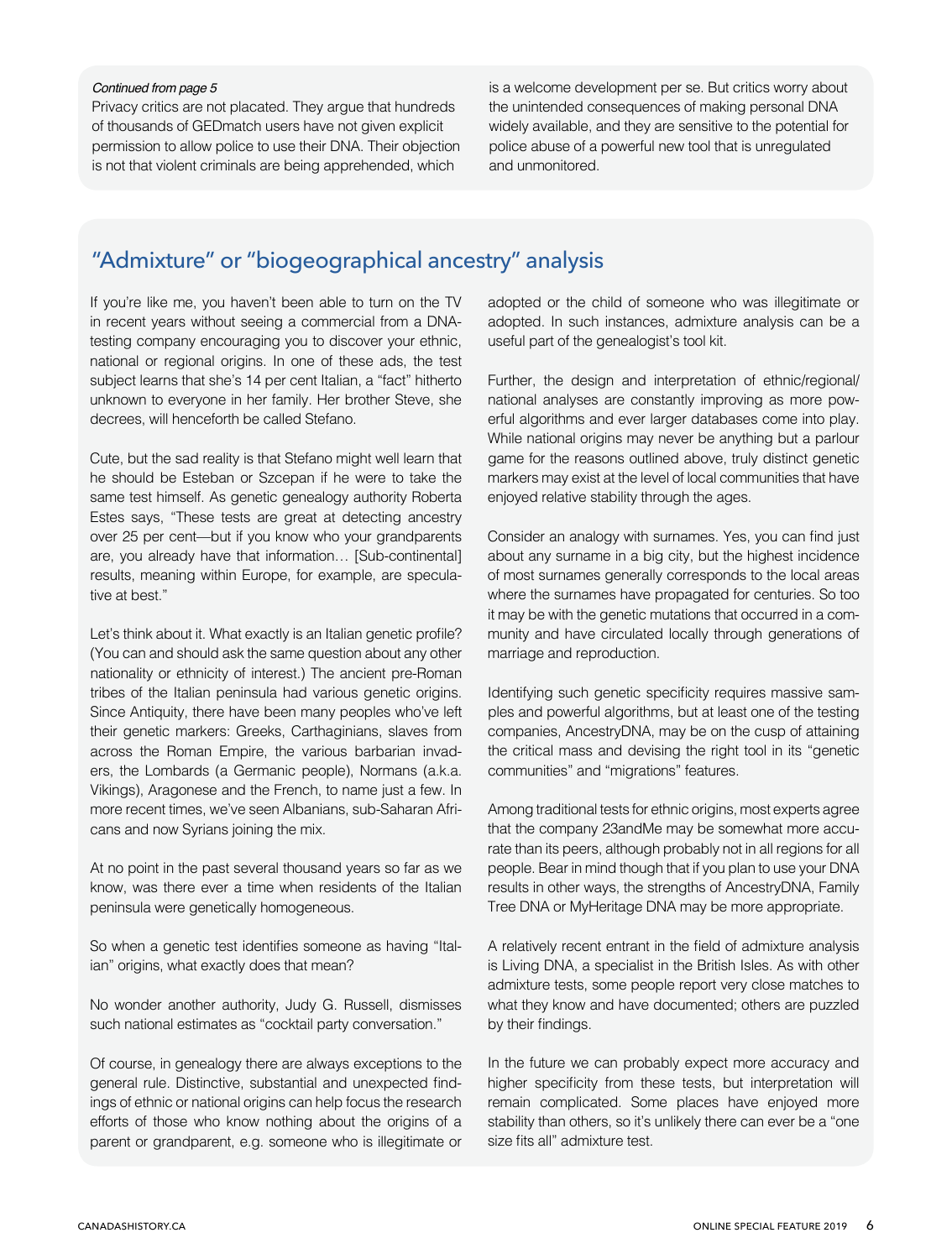#### <span id="page-5-0"></span>*Continued from page 5*

Privacy critics are not placated. They argue that hundreds of thousands of GEDmatch users have not given explicit permission to allow police to use their DNA. Their objection is not that violent criminals are being apprehended, which

is a welcome development per se. But critics worry about the unintended consequences of making personal DNA widely available, and they are sensitive to the potential for police abuse of a powerful new tool that is unregulated and unmonitored.

## "Admixture" or "biogeographical ancestry" analysis

If you're like me, you haven't been able to turn on the TV in recent years without seeing a commercial from a DNAtesting company encouraging you to discover your ethnic, national or regional origins. In one of these ads, the test subject learns that she's 14 per cent Italian, a "fact" hitherto unknown to everyone in her family. Her brother Steve, she decrees, will henceforth be called Stefano.

Cute, but the sad reality is that Stefano might well learn that he should be Esteban or Szcepan if he were to take the same test himself. As genetic genealogy authority Roberta Estes says, "These tests are great at detecting ancestry over 25 per cent—but if you know who your grandparents are, you already have that information… [Sub-continental] results, meaning within Europe, for example, are speculative at best."

Let's think about it. What exactly is an Italian genetic profile? (You can and should ask the same question about any other nationality or ethnicity of interest.) The ancient pre-Roman tribes of the Italian peninsula had various genetic origins. Since Antiquity, there have been many peoples who've left their genetic markers: Greeks, Carthaginians, slaves from across the Roman Empire, the various barbarian invaders, the Lombards (a Germanic people), Normans (a.k.a. Vikings), Aragonese and the French, to name just a few. In more recent times, we've seen Albanians, sub-Saharan Africans and now Syrians joining the mix.

At no point in the past several thousand years so far as we know, was there ever a time when residents of the Italian peninsula were genetically homogeneous.

So when a genetic test identifies someone as having "Italian" origins, what exactly does that mean?

No wonder another authority, Judy G. Russell, dismisses such national estimates as "cocktail party conversation."

Of course, in genealogy there are always exceptions to the general rule. Distinctive, substantial and unexpected findings of ethnic or national origins can help focus the research efforts of those who know nothing about the origins of a parent or grandparent, e.g. someone who is illegitimate or adopted or the child of someone who was illegitimate or adopted. In such instances, admixture analysis can be a useful part of the genealogist's tool kit.

Further, the design and interpretation of ethnic/regional/ national analyses are constantly improving as more powerful algorithms and ever larger databases come into play. While national origins may never be anything but a parlour game for the reasons outlined above, truly distinct genetic markers may exist at the level of local communities that have enjoyed relative stability through the ages.

Consider an analogy with surnames. Yes, you can find just about any surname in a big city, but the highest incidence of most surnames generally corresponds to the local areas where the surnames have propagated for centuries. So too it may be with the genetic mutations that occurred in a community and have circulated locally through generations of marriage and reproduction.

Identifying such genetic specificity requires massive samples and powerful algorithms, but at least one of the testing companies, AncestryDNA, may be on the cusp of attaining the critical mass and devising the right tool in its "genetic communities" and "migrations" features.

Among traditional tests for ethnic origins, most experts agree that the company 23andMe may be somewhat more accurate than its peers, although probably not in all regions for all people. Bear in mind though that if you plan to use your DNA results in other ways, the strengths of AncestryDNA, Family Tree DNA or MyHeritage DNA may be more appropriate.

A relatively recent entrant in the field of admixture analysis is Living DNA, a specialist in the British Isles. As with other admixture tests, some people report very close matches to what they know and have documented; others are puzzled by their findings.

In the future we can probably expect more accuracy and higher specificity from these tests, but interpretation will remain complicated. Some places have enjoyed more stability than others, so it's unlikely there can ever be a "one size fits all" admixture test.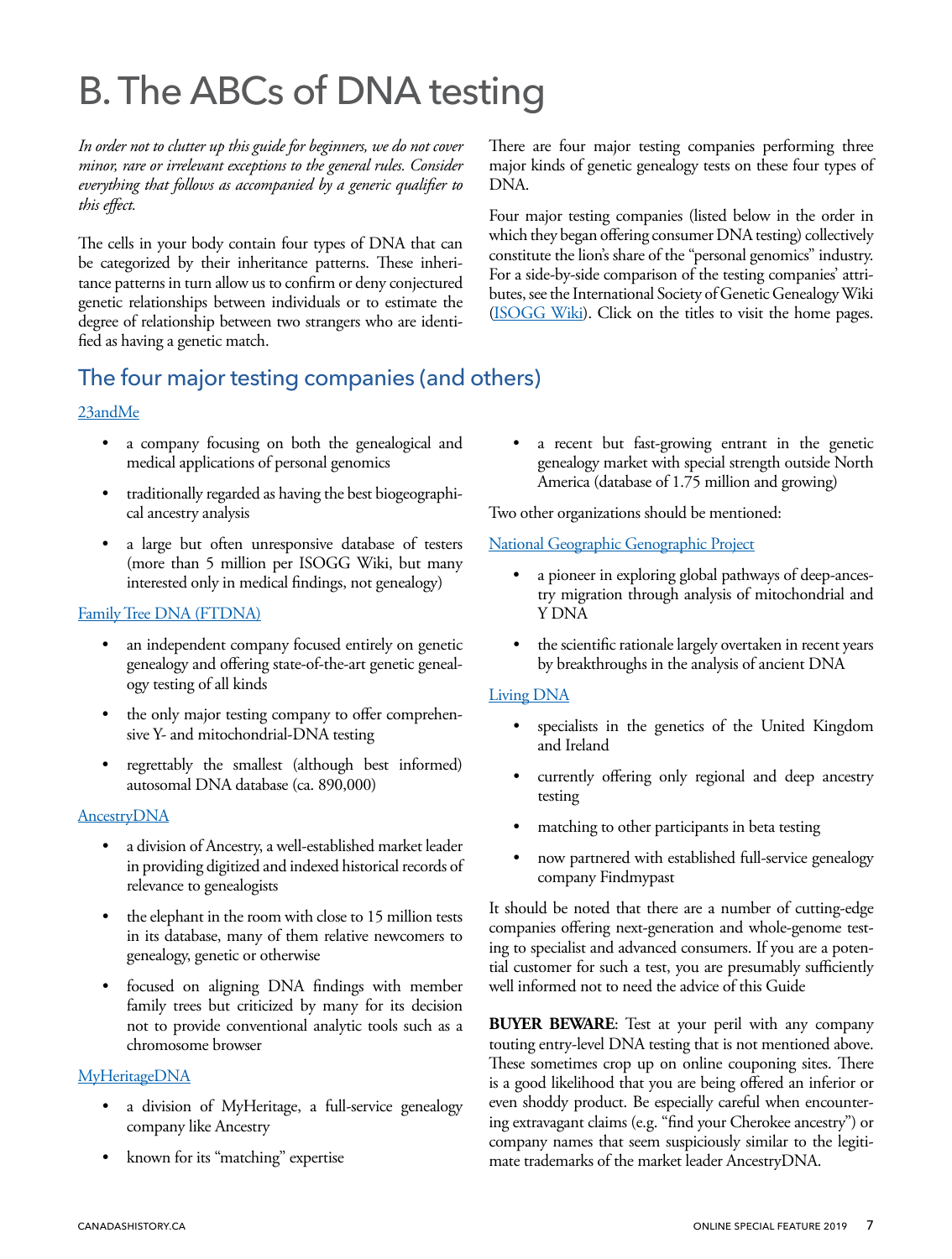# <span id="page-6-0"></span>B. The ABCs of DNA testing

*In order not to clutter up this guide for beginners, we do not cover minor, rare or irrelevant exceptions to the general rules. Consider everything that follows as accompanied by a generic qualifier to this effect.*

The cells in your body contain four types of DNA that can be categorized by their inheritance patterns. These inheritance patterns in turn allow us to confirm or deny conjectured genetic relationships between individuals or to estimate the degree of relationship between two strangers who are identified as having a genetic match.

## The four major testing companies (and others)

#### [23andMe](https://23andme.com)

- a company focusing on both the genealogical and medical applications of personal genomics
- traditionally regarded as having the best biogeographical ancestry analysis
- a large but often unresponsive database of testers (more than 5 million per ISOGG Wiki, but many interested only in medical findings, not genealogy)

#### [Family Tree DNA \(FTDNA\)](https://www.familytreedna.com/)

- an independent company focused entirely on genetic genealogy and offering state-of-the-art genetic genealogy testing of all kinds
- the only major testing company to offer comprehensive Y- and mitochondrial-DNA testing
- regrettably the smallest (although best informed) autosomal DNA database (ca. 890,000)

#### **[AncestryDNA](https://www.ancestrydna.ca/)**

- a division of Ancestry, a well-established market leader in providing digitized and indexed historical records of relevance to genealogists
- the elephant in the room with close to 15 million tests in its database, many of them relative newcomers to genealogy, genetic or otherwise
- focused on aligning DNA findings with member family trees but criticized by many for its decision not to provide conventional analytic tools such as a chromosome browser

#### **[MyHeritageDNA](https://www.myheritage.com/dna)**

- a division of MyHeritage, a full-service genealogy company like Ancestry
- known for its "matching" expertise

There are four major testing companies performing three major kinds of genetic genealogy tests on these four types of DNA.

Four major testing companies (listed below in the order in which they began offering consumer DNA testing) collectively constitute the lion's share of the "personal genomics" industry. For a side-by-side comparison of the testing companies' attributes, see the International Society of Genetic Genealogy Wiki ([ISOGG Wiki](https://isogg.org/wiki/Autosomal_DNA_testing_comparison_chart)). Click on the titles to visit the home pages.

a recent but fast-growing entrant in the genetic genealogy market with special strength outside North America (database of 1.75 million and growing)

Two other organizations should be mentioned:

#### [National Geographic Genographic Project](https://genographic.nationalgeographic.com/)

- a pioneer in exploring global pathways of deep-ancestry migration through analysis of mitochondrial and Y DNA
- the scientific rationale largely overtaken in recent years by breakthroughs in the analysis of ancient DNA

#### [Living DNA](https://livingdna.com/ca/)

- specialists in the genetics of the United Kingdom and Ireland
- currently offering only regional and deep ancestry testing
- matching to other participants in beta testing
- now partnered with established full-service genealogy company Findmypast

It should be noted that there are a number of cutting-edge companies offering next-generation and whole-genome testing to specialist and advanced consumers. If you are a potential customer for such a test, you are presumably sufficiently well informed not to need the advice of this Guide

**BUYER BEWARE**: Test at your peril with any company touting entry-level DNA testing that is not mentioned above. These sometimes crop up on online couponing sites. There is a good likelihood that you are being offered an inferior or even shoddy product. Be especially careful when encountering extravagant claims (e.g. "find your Cherokee ancestry") or company names that seem suspiciously similar to the legitimate trademarks of the market leader AncestryDNA.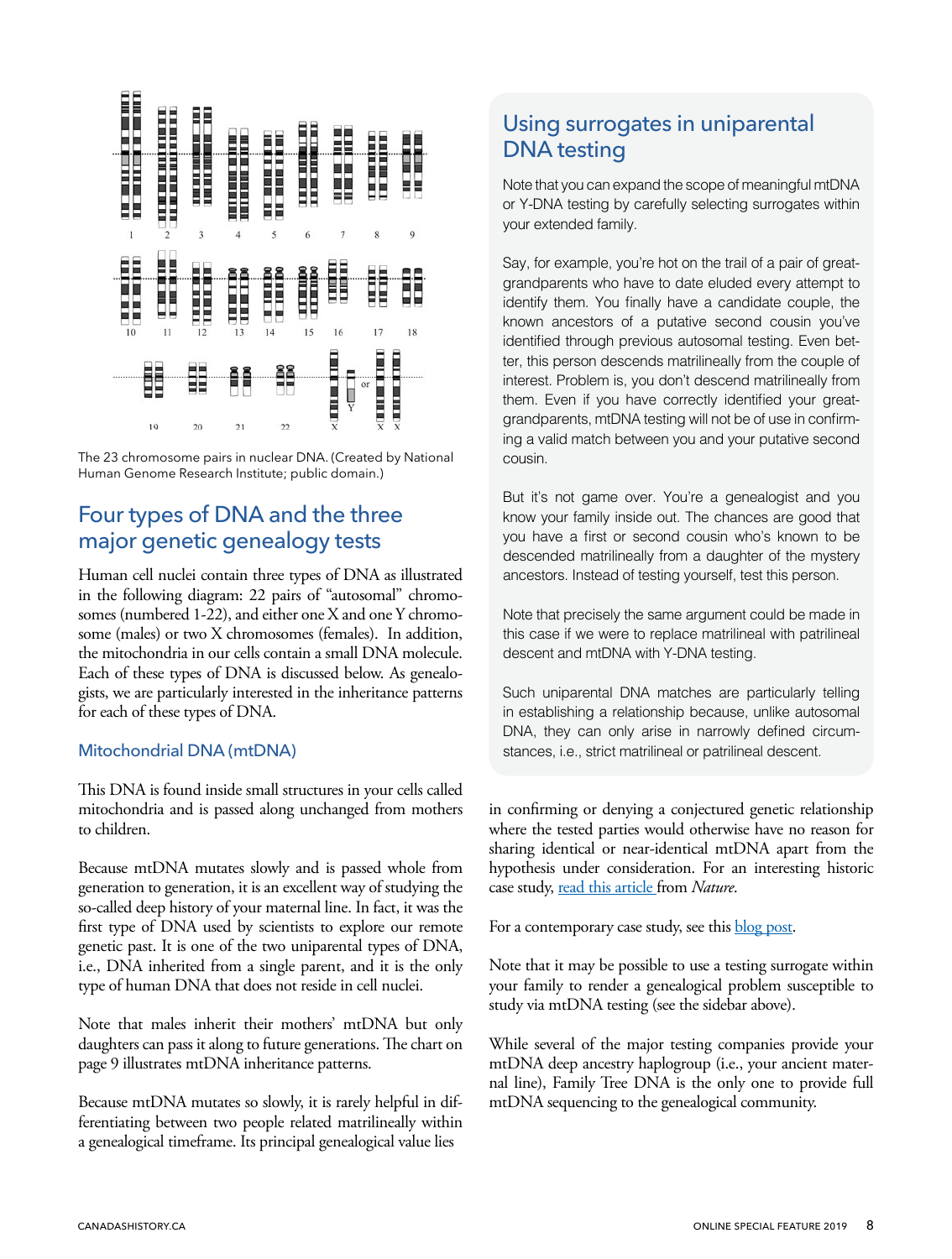<span id="page-7-0"></span>

The 23 chromosome pairs in nuclear DNA. (Created by National Human Genome Research Institute; public domain.)

## Four types of DNA and the three major genetic genealogy tests

Human cell nuclei contain three types of DNA as illustrated in the following diagram: 22 pairs of "autosomal" chromosomes (numbered 1-22), and either one X and one Y chromosome (males) or two X chromosomes (females). In addition, the mitochondria in our cells contain a small DNA molecule. Each of these types of DNA is discussed below. As genealogists, we are particularly interested in the inheritance patterns for each of these types of DNA.

#### Mitochondrial DNA (mtDNA)

This DNA is found inside small structures in your cells called mitochondria and is passed along unchanged from mothers to children.

Because mtDNA mutates slowly and is passed whole from generation to generation, it is an excellent way of studying the so-called deep history of your maternal line. In fact, it was the first type of DNA used by scientists to explore our remote genetic past. It is one of the two uniparental types of DNA, i.e., DNA inherited from a single parent, and it is the only type of human DNA that does not reside in cell nuclei.

Note that males inherit their mothers' mtDNA but only daughters can pass it along to future generations. The chart on page 9 illustrates mtDNA inheritance patterns.

Because mtDNA mutates so slowly, it is rarely helpful in differentiating between two people related matrilineally within a genealogical timeframe. Its principal genealogical value lies

## Using surrogates in uniparental DNA testing

Note that you can expand the scope of meaningful mtDNA or Y-DNA testing by carefully selecting surrogates within your extended family.

Say, for example, you're hot on the trail of a pair of greatgrandparents who have to date eluded every attempt to identify them. You finally have a candidate couple, the known ancestors of a putative second cousin you've identified through previous autosomal testing. Even better, this person descends matrilineally from the couple of interest. Problem is, you don't descend matrilineally from them. Even if you have correctly identified your greatgrandparents, mtDNA testing will not be of use in confirming a valid match between you and your putative second cousin.

But it's not game over. You're a genealogist and you know your family inside out. The chances are good that you have a first or second cousin who's known to be descended matrilineally from a daughter of the mystery ancestors. Instead of testing yourself, test this person.

Note that precisely the same argument could be made in this case if we were to replace matrilineal with patrilineal descent and mtDNA with Y-DNA testing.

Such uniparental DNA matches are particularly telling in establishing a relationship because, unlike autosomal DNA, they can only arise in narrowly defined circumstances, i.e., strict matrilineal or patrilineal descent.

in confirming or denying a conjectured genetic relationship where the tested parties would otherwise have no reason for sharing identical or near-identical mtDNA apart from the hypothesis under consideration. For an interesting historic case study, [read this article](https://www.nature.com/articles/ncomms6631) from *Nature*.

For a contemporary case study, see this **blog post**.

Note that it may be possible to use a testing surrogate within your family to render a genealogical problem susceptible to study via mtDNA testing (see the sidebar above).

While several of the major testing companies provide your mtDNA deep ancestry haplogroup (i.e., your ancient maternal line), Family Tree DNA is the only one to provide full mtDNA sequencing to the genealogical community.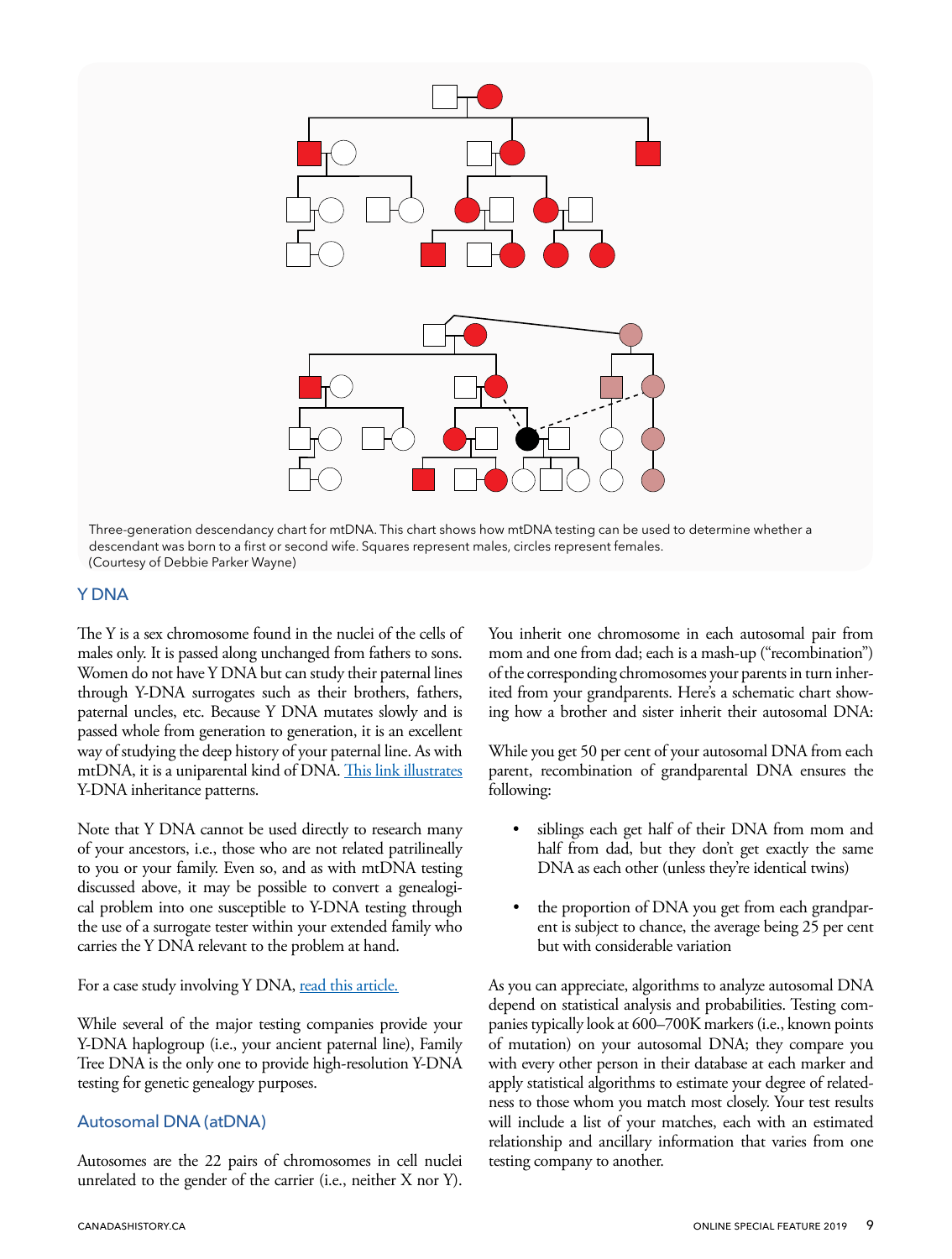<span id="page-8-0"></span>

Three-generation descendancy chart for mtDNA. This chart shows how mtDNA testing can be used to determine whether a descendant was born to a first or second wife. Squares represent males, circles represent females. (Courtesy of Debbie Parker Wayne)

#### Y DNA

The Y is a sex chromosome found in the nuclei of the cells of males only. It is passed along unchanged from fathers to sons. Women do not have Y DNA but can study their paternal lines through Y-DNA surrogates such as their brothers, fathers, paternal uncles, etc. Because Y DNA mutates slowly and is passed whole from generation to generation, it is an excellent way of studying the deep history of your paternal line. As with mtDNA, it is a uniparental kind of DNA. [This link illustrates](https://www.igenea.com/en/y-chromosome) Y-DNA inheritance patterns.

Note that Y DNA cannot be used directly to research many of your ancestors, i.e., those who are not related patrilineally to you or your family. Even so, and as with mtDNA testing discussed above, it may be possible to convert a genealogical problem into one susceptible to Y-DNA testing through the use of a surrogate tester within your extended family who carries the Y DNA relevant to the problem at hand.

#### For a case study involving Y DNA, [read this article.](https://www.washingtonpost.com/wp-srv/local/daily/may99/dnatest110198.htm)

While several of the major testing companies provide your Y-DNA haplogroup (i.e., your ancient paternal line), Family Tree DNA is the only one to provide high-resolution Y-DNA testing for genetic genealogy purposes.

#### Autosomal DNA (atDNA)

Autosomes are the 22 pairs of chromosomes in cell nuclei unrelated to the gender of the carrier (i.e., neither X nor Y).

You inherit one chromosome in each autosomal pair from mom and one from dad; each is a mash-up ("recombination") of the corresponding chromosomes your parents in turn inherited from your grandparents. Here's a schematic chart showing how a brother and sister inherit their autosomal DNA:

While you get 50 per cent of your autosomal DNA from each parent, recombination of grandparental DNA ensures the following:

- siblings each get half of their DNA from mom and half from dad, but they don't get exactly the same DNA as each other (unless they're identical twins)
- the proportion of DNA you get from each grandparent is subject to chance, the average being 25 per cent but with considerable variation

As you can appreciate, algorithms to analyze autosomal DNA depend on statistical analysis and probabilities. Testing companies typically look at 600–700K markers (i.e., known points of mutation) on your autosomal DNA; they compare you with every other person in their database at each marker and apply statistical algorithms to estimate your degree of relatedness to those whom you match most closely. Your test results will include a list of your matches, each with an estimated relationship and ancillary information that varies from one testing company to another.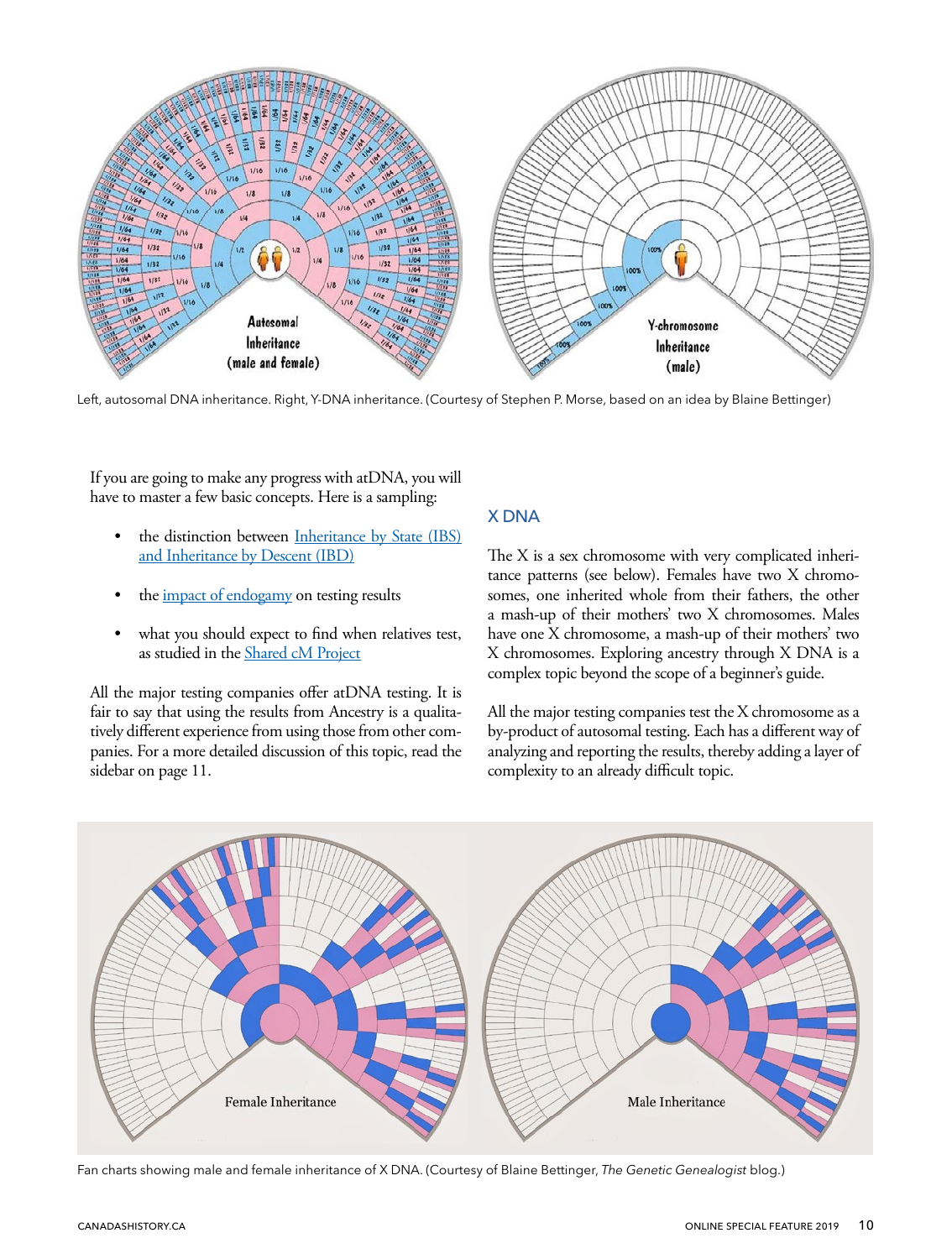<span id="page-9-0"></span>

Left, autosomal DNA inheritance. Right, Y-DNA inheritance. (Courtesy of Stephen P. Morse, based on an idea by Blaine Bettinger)

If you are going to make any progress with atDNA, you will have to master a few basic concepts. Here is a sampling:

- the distinction between Inheritance by State (IBS) [and Inheritance by Descent \(IBD\)](https://en.wikipedia.org/wiki/Identity_by_descent)
- the *impact* of endogamy on testing results
- what you should expect to find when relatives test, as studied in the [Shared cM Project](https://thegeneticgenealogist.com/2017/08/26/august-2017-update-to-the-shared-cm-project/)

All the major testing companies offer atDNA testing. It is fair to say that using the results from Ancestry is a qualitatively different experience from using those from other companies. For a more detailed discussion of this topic, read the sidebar on page 11.

#### X DNA

The X is a sex chromosome with very complicated inheritance patterns (see below). Females have two X chromosomes, one inherited whole from their fathers, the other a mash-up of their mothers' two X chromosomes. Males have one X chromosome, a mash-up of their mothers' two X chromosomes. Exploring ancestry through X DNA is a complex topic beyond the scope of a beginner's guide.

All the major testing companies test the X chromosome as a by-product of autosomal testing. Each has a different way of analyzing and reporting the results, thereby adding a layer of complexity to an already difficult topic.



Fan charts showing male and female inheritance of X DNA. (Courtesy of Blaine Bettinger, *The Genetic Genealogist* blog.)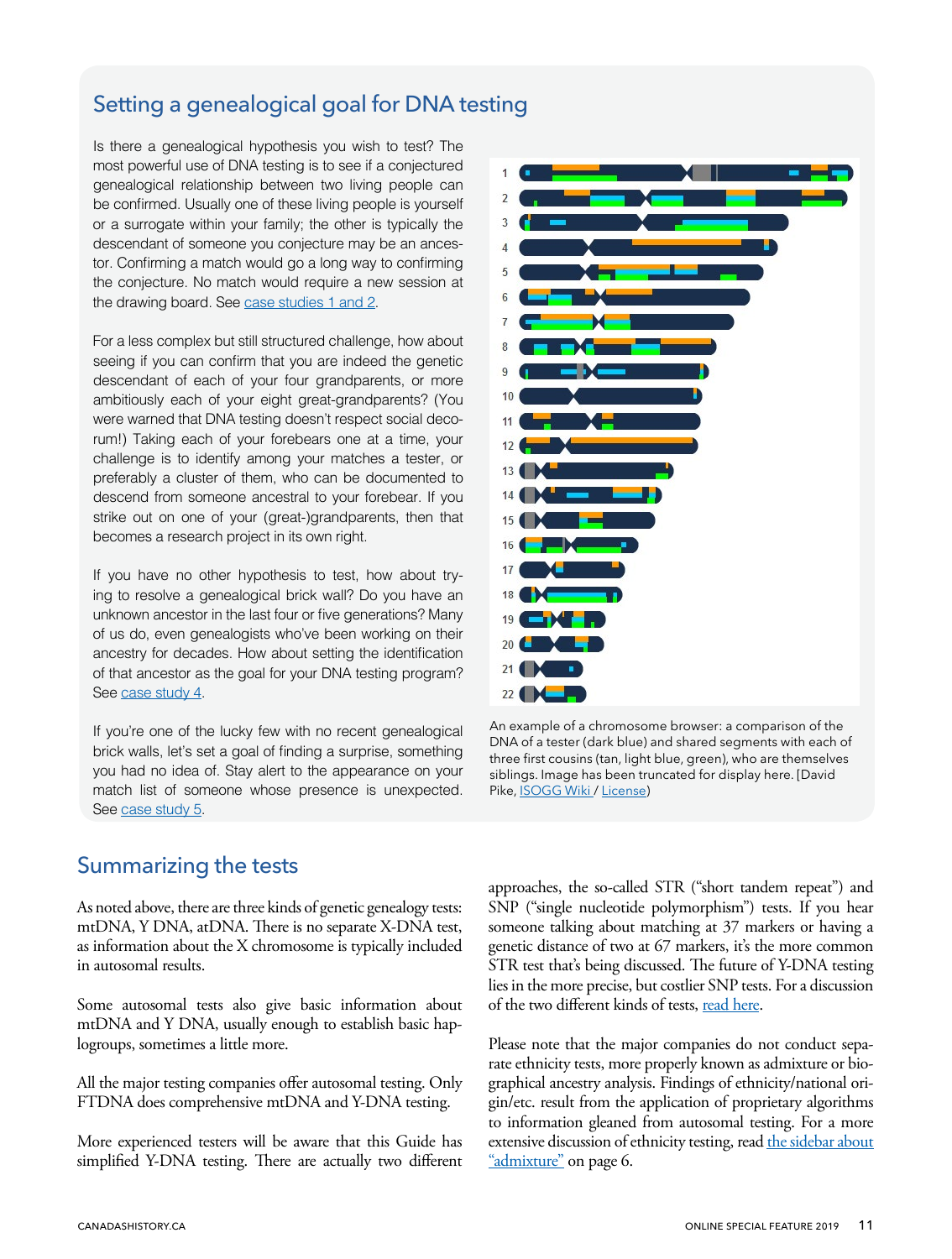## <span id="page-10-0"></span>Setting a genealogical goal for DNA testing

Is there a genealogical hypothesis you wish to test? The most powerful use of DNA testing is to see if a conjectured genealogical relationship between two living people can be confirmed. Usually one of these living people is yourself or a surrogate within your family; the other is typically the descendant of someone you conjecture may be an ancestor. Confirming a match would go a long way to confirming the conjecture. No match would require a new session at the drawing board. See [case studies 1 and 2](#page-13-0).

For a less complex but still structured challenge, how about seeing if you can confirm that you are indeed the genetic descendant of each of your four grandparents, or more ambitiously each of your eight great-grandparents? (You were warned that DNA testing doesn't respect social decorum!) Taking each of your forebears one at a time, your challenge is to identify among your matches a tester, or preferably a cluster of them, who can be documented to descend from someone ancestral to your forebear. If you strike out on one of your (great-)grandparents, then that becomes a research project in its own right.

If you have no other hypothesis to test, how about trying to resolve a genealogical brick wall? Do you have an unknown ancestor in the last four or five generations? Many of us do, even genealogists who've been working on their ancestry for decades. How about setting the identification of that ancestor as the goal for your DNA testing program? See [case study 4.](#page-14-0)

If you're one of the lucky few with no recent genealogical brick walls, let's set a goal of finding a surprise, something you had no idea of. Stay alert to the appearance on your match list of someone whose presence is unexpected. See [case study 5.](#page-14-0)

## Summarizing the tests

As noted above, there are three kinds of genetic genealogy tests: mtDNA, Y DNA, atDNA. There is no separate X-DNA test, as information about the X chromosome is typically included in autosomal results.

Some autosomal tests also give basic information about mtDNA and Y DNA, usually enough to establish basic haplogroups, sometimes a little more.

All the major testing companies offer autosomal testing. Only FTDNA does comprehensive mtDNA and Y-DNA testing.

More experienced testers will be aware that this Guide has simplified Y-DNA testing. There are actually two different



An example of a chromosome browser: a comparison of the DNA of a tester (dark blue) and shared segments with each of three first cousins (tan, light blue, green), who are themselves siblings. Image has been truncated for display here. [David Pike, **[ISOGG Wiki](https://isogg.org/wiki/File:CB-FirstCousins3.jpeg)/ [License](https://creativecommons.org/licenses/by-nc-sa/3.0/legalcode)**)

approaches, the so-called STR ("short tandem repeat") and SNP ("single nucleotide polymorphism") tests. If you hear someone talking about matching at 37 markers or having a genetic distance of two at 67 markers, it's the more common STR test that's being discussed. The future of Y-DNA testing lies in the more precise, but costlier SNP tests. For a discussion of the two different kinds of tests, [read here.](https://dna-explained.com/2014/02/10/strs-vs-snps-multiple-dna-personalities/)

Please note that the major companies do not conduct separate ethnicity tests, more properly known as admixture or biographical ancestry analysis. Findings of ethnicity/national origin/etc. result from the application of proprietary algorithms to information gleaned from autosomal testing. For a more extensive discussion of ethnicity testing, read [the sidebar about](#page-5-0) ["admixture"](#page-5-0) on page 6.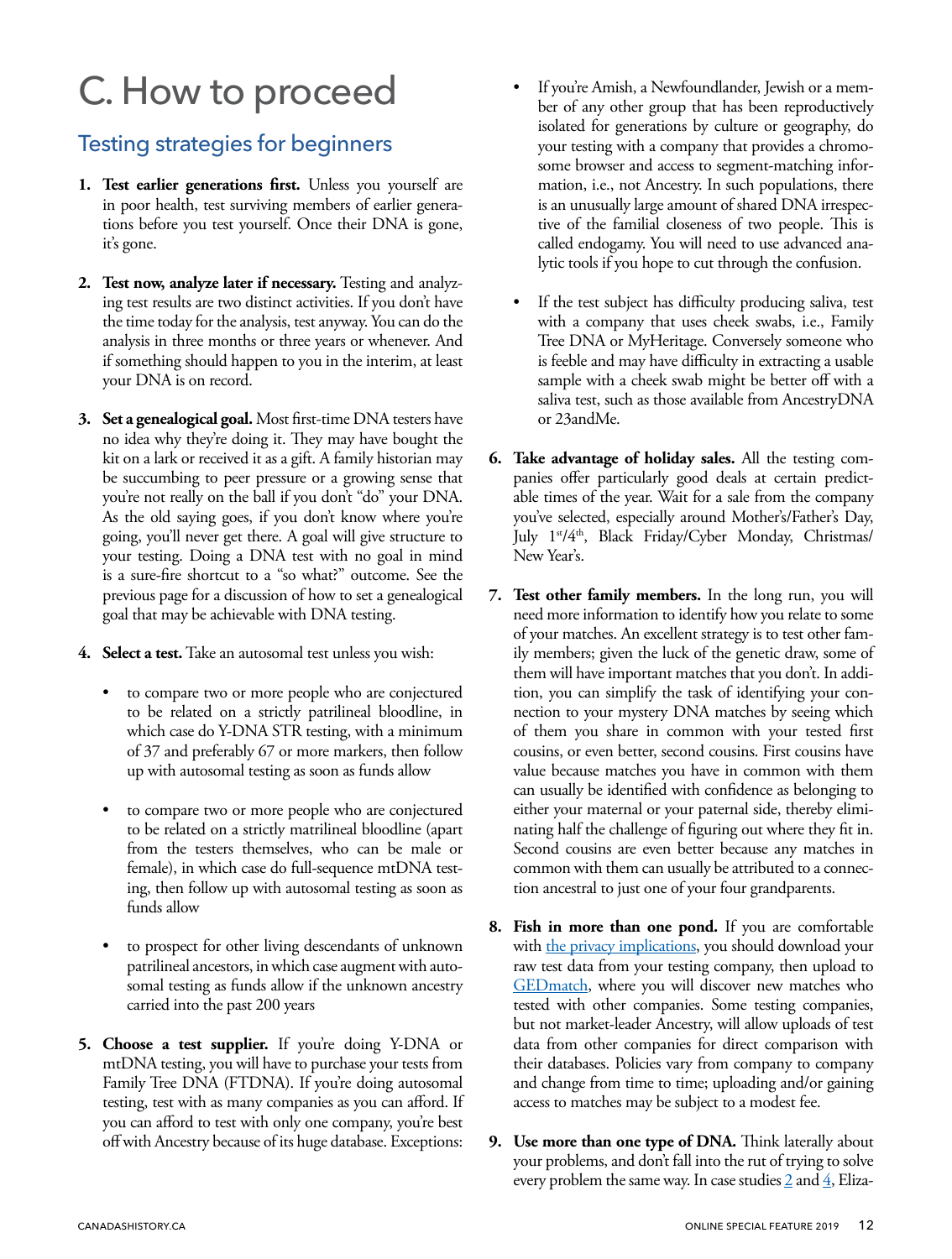# <span id="page-11-0"></span>C. How to proceed

## Testing strategies for beginners

- **1. Test earlier generations first.** Unless you yourself are in poor health, test surviving members of earlier generations before you test yourself. Once their DNA is gone, it's gone.
- **2. Test now, analyze later if necessary.** Testing and analyzing test results are two distinct activities. If you don't have the time today for the analysis, test anyway. You can do the analysis in three months or three years or whenever. And if something should happen to you in the interim, at least your DNA is on record.
- **3. Set a genealogical goal.** Most first-time DNA testers have no idea why they're doing it. They may have bought the kit on a lark or received it as a gift. A family historian may be succumbing to peer pressure or a growing sense that you're not really on the ball if you don't "do" your DNA. As the old saying goes, if you don't know where you're going, you'll never get there. A goal will give structure to your testing. Doing a DNA test with no goal in mind is a sure-fire shortcut to a "so what?" outcome. See the previous page for a discussion of how to set a genealogical goal that may be achievable with DNA testing.
- **4. Select a test.** Take an autosomal test unless you wish:
	- to compare two or more people who are conjectured to be related on a strictly patrilineal bloodline, in which case do Y-DNA STR testing, with a minimum of 37 and preferably 67 or more markers, then follow up with autosomal testing as soon as funds allow
	- to compare two or more people who are conjectured to be related on a strictly matrilineal bloodline (apart from the testers themselves, who can be male or female), in which case do full-sequence mtDNA testing, then follow up with autosomal testing as soon as funds allow
	- to prospect for other living descendants of unknown patrilineal ancestors, in which case augment with autosomal testing as funds allow if the unknown ancestry carried into the past 200 years
- **5. Choose a test supplier.** If you're doing Y-DNA or mtDNA testing, you will have to purchase your tests from Family Tree DNA (FTDNA). If you're doing autosomal testing, test with as many companies as you can afford. If you can afford to test with only one company, you're best off with Ancestry because of its huge database. Exceptions:
- If you're Amish, a Newfoundlander, Jewish or a member of any other group that has been reproductively isolated for generations by culture or geography, do your testing with a company that provides a chromosome browser and access to segment-matching information, i.e., not Ancestry. In such populations, there is an unusually large amount of shared DNA irrespective of the familial closeness of two people. This is called endogamy. You will need to use advanced analytic tools if you hope to cut through the confusion.
- If the test subject has difficulty producing saliva, test with a company that uses cheek swabs, i.e., Family Tree DNA or MyHeritage. Conversely someone who is feeble and may have difficulty in extracting a usable sample with a cheek swab might be better off with a saliva test, such as those available from AncestryDNA or 23andMe.
- **6. Take advantage of holiday sales.** All the testing companies offer particularly good deals at certain predictable times of the year. Wait for a sale from the company you've selected, especially around Mother's/Father's Day, July 1<sup>st</sup>/4<sup>th</sup>, Black Friday/Cyber Monday, Christmas/ New Year's.
- **7. Test other family members.** In the long run, you will need more information to identify how you relate to some of your matches. An excellent strategy is to test other family members; given the luck of the genetic draw, some of them will have important matches that you don't. In addition, you can simplify the task of identifying your connection to your mystery DNA matches by seeing which of them you share in common with your tested first cousins, or even better, second cousins. First cousins have value because matches you have in common with them can usually be identified with confidence as belonging to either your maternal or your paternal side, thereby eliminating half the challenge of figuring out where they fit in. Second cousins are even better because any matches in common with them can usually be attributed to a connection ancestral to just one of your four grandparents.
- **8. Fish in more than one pond.** If you are comfortable with [the privacy implications,](https://thehandwrittenpast.com/2018/05/05/gedmatch-privacy/) you should download your raw test data from your testing company, then upload to GED match, where you will discover new matches who tested with other companies. Some testing companies, but not market-leader Ancestry, will allow uploads of test data from other companies for direct comparison with their databases. Policies vary from company to company and change from time to time; uploading and/or gaining access to matches may be subject to a modest fee.
- **9. Use more than one type of DNA.** Think laterally about your problems, and don't fall into the rut of trying to solve every problem the same way. In case studies  $2$  and  $4$ , Eliza-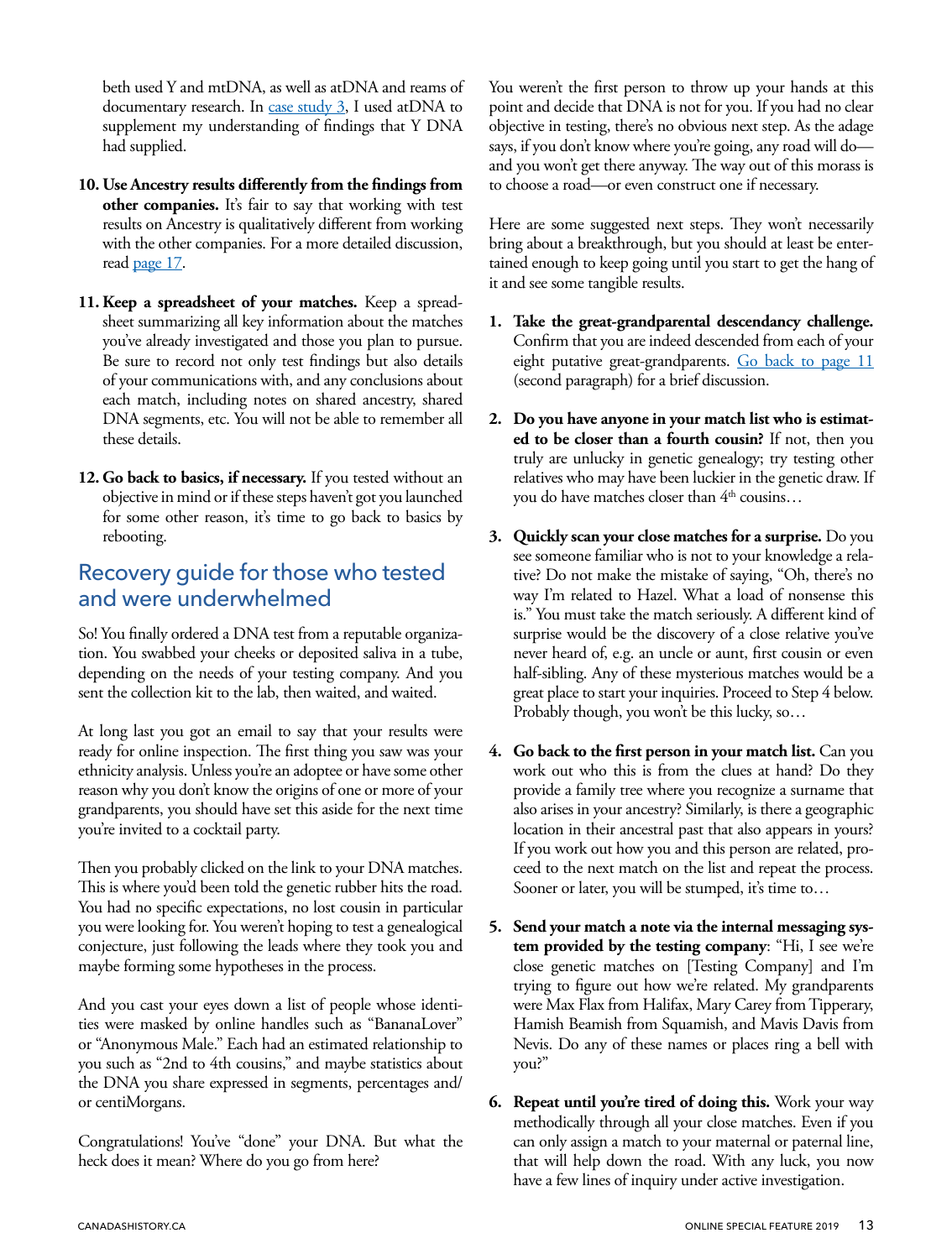<span id="page-12-0"></span>beth used Y and mtDNA, as well as atDNA and reams of documentary research. In [case study 3,](#page-13-0) I used atDNA to supplement my understanding of findings that Y DNA had supplied.

- **10. Use Ancestry results differently from the findings from other companies.** It's fair to say that working with test results on Ancestry is qualitatively different from working with the other companies. For a more detailed discussion, read [page 17.](#page-16-0)
- **11. Keep a spreadsheet of your matches.** Keep a spreadsheet summarizing all key information about the matches you've already investigated and those you plan to pursue. Be sure to record not only test findings but also details of your communications with, and any conclusions about each match, including notes on shared ancestry, shared DNA segments, etc. You will not be able to remember all these details.
- **12. Go back to basics, if necessary.** If you tested without an objective in mind or if these steps haven't got you launched for some other reason, it's time to go back to basics by rebooting.

## Recovery guide for those who tested and were underwhelmed

So! You finally ordered a DNA test from a reputable organization. You swabbed your cheeks or deposited saliva in a tube, depending on the needs of your testing company. And you sent the collection kit to the lab, then waited, and waited.

At long last you got an email to say that your results were ready for online inspection. The first thing you saw was your ethnicity analysis. Unless you're an adoptee or have some other reason why you don't know the origins of one or more of your grandparents, you should have set this aside for the next time you're invited to a cocktail party.

Then you probably clicked on the link to your DNA matches. This is where you'd been told the genetic rubber hits the road. You had no specific expectations, no lost cousin in particular you were looking for. You weren't hoping to test a genealogical conjecture, just following the leads where they took you and maybe forming some hypotheses in the process.

And you cast your eyes down a list of people whose identities were masked by online handles such as "BananaLover" or "Anonymous Male." Each had an estimated relationship to you such as "2nd to 4th cousins," and maybe statistics about the DNA you share expressed in segments, percentages and/ or centiMorgans.

Congratulations! You've "done" your DNA. But what the heck does it mean? Where do you go from here?

You weren't the first person to throw up your hands at this point and decide that DNA is not for you. If you had no clear objective in testing, there's no obvious next step. As the adage says, if you don't know where you're going, any road will do and you won't get there anyway. The way out of this morass is to choose a road—or even construct one if necessary.

Here are some suggested next steps. They won't necessarily bring about a breakthrough, but you should at least be entertained enough to keep going until you start to get the hang of it and see some tangible results.

- **1. Take the great-grandparental descendancy challenge.**  Confirm that you are indeed descended from each of your eight putative great-grandparents. [Go back to page 11](#page-10-0) (second paragraph) for a brief discussion.
- **2. Do you have anyone in your match list who is estimated to be closer than a fourth cousin?** If not, then you truly are unlucky in genetic genealogy; try testing other relatives who may have been luckier in the genetic draw. If you do have matches closer than 4<sup>th</sup> cousins...
- **3. Quickly scan your close matches for a surprise.** Do you see someone familiar who is not to your knowledge a relative? Do not make the mistake of saying, "Oh, there's no way I'm related to Hazel. What a load of nonsense this is." You must take the match seriously. A different kind of surprise would be the discovery of a close relative you've never heard of, e.g. an uncle or aunt, first cousin or even half-sibling. Any of these mysterious matches would be a great place to start your inquiries. Proceed to Step 4 below. Probably though, you won't be this lucky, so…
- **4. Go back to the first person in your match list.** Can you work out who this is from the clues at hand? Do they provide a family tree where you recognize a surname that also arises in your ancestry? Similarly, is there a geographic location in their ancestral past that also appears in yours? If you work out how you and this person are related, proceed to the next match on the list and repeat the process. Sooner or later, you will be stumped, it's time to...
- **5. Send your match a note via the internal messaging system provided by the testing company**: "Hi, I see we're close genetic matches on [Testing Company] and I'm trying to figure out how we're related. My grandparents were Max Flax from Halifax, Mary Carey from Tipperary, Hamish Beamish from Squamish, and Mavis Davis from Nevis. Do any of these names or places ring a bell with you?"
- **6. Repeat until you're tired of doing this.** Work your way methodically through all your close matches. Even if you can only assign a match to your maternal or paternal line, that will help down the road. With any luck, you now have a few lines of inquiry under active investigation.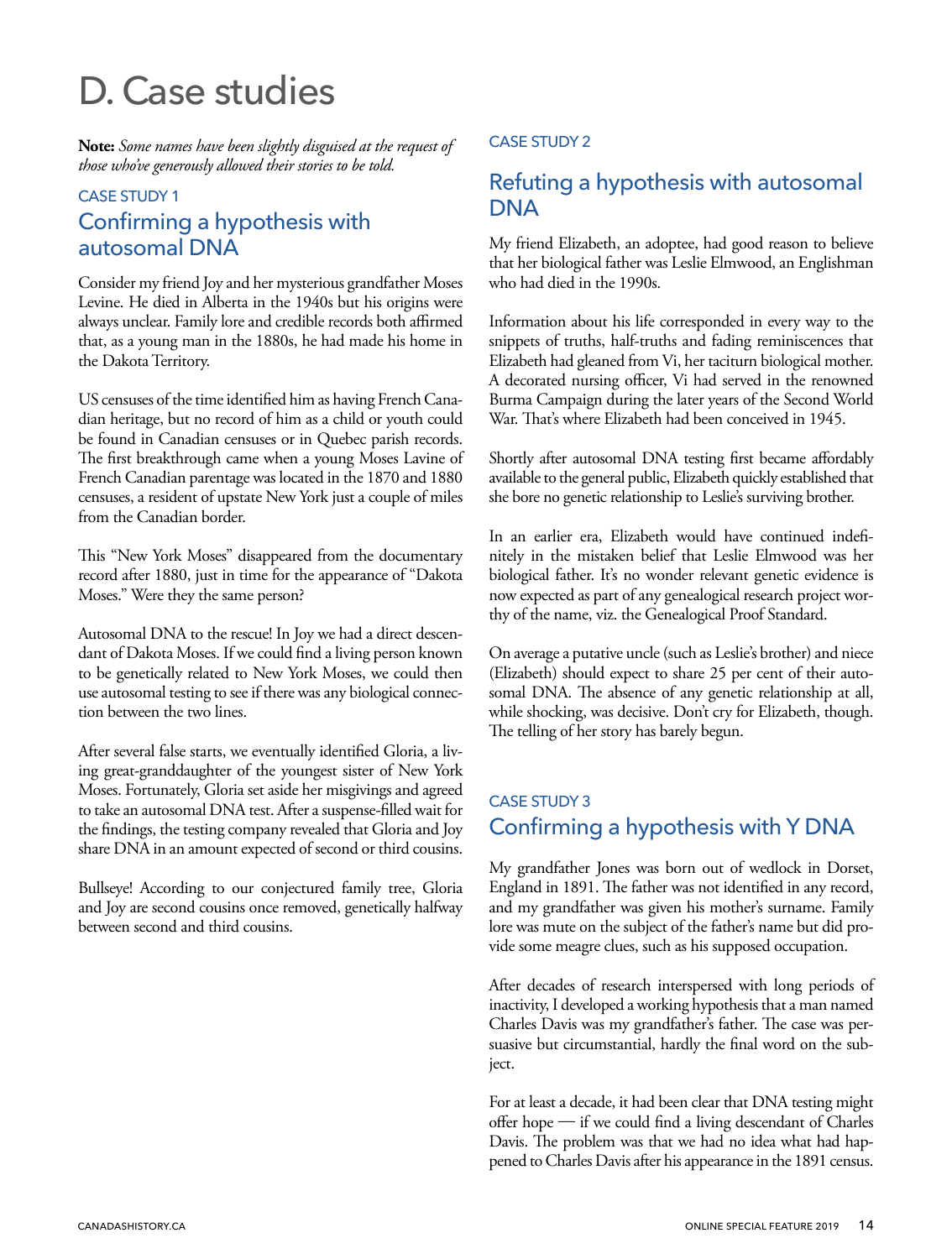# <span id="page-13-0"></span>D. Case studies

**Note:** *Some names have been slightly disguised at the request of those who've generously allowed their stories to be told.*

#### CASE STUDY 1

## Confirming a hypothesis with autosomal DNA

Consider my friend Joy and her mysterious grandfather Moses Levine. He died in Alberta in the 1940s but his origins were always unclear. Family lore and credible records both affirmed that, as a young man in the 1880s, he had made his home in the Dakota Territory.

US censuses of the time identified him as having French Canadian heritage, but no record of him as a child or youth could be found in Canadian censuses or in Quebec parish records. The first breakthrough came when a young Moses Lavine of French Canadian parentage was located in the 1870 and 1880 censuses, a resident of upstate New York just a couple of miles from the Canadian border.

This "New York Moses" disappeared from the documentary record after 1880, just in time for the appearance of "Dakota Moses." Were they the same person?

Autosomal DNA to the rescue! In Joy we had a direct descendant of Dakota Moses. If we could find a living person known to be genetically related to New York Moses, we could then use autosomal testing to see if there was any biological connection between the two lines.

After several false starts, we eventually identified Gloria, a living great-granddaughter of the youngest sister of New York Moses. Fortunately, Gloria set aside her misgivings and agreed to take an autosomal DNA test. After a suspense-filled wait for the findings, the testing company revealed that Gloria and Joy share DNA in an amount expected of second or third cousins.

Bullseye! According to our conjectured family tree, Gloria and Joy are second cousins once removed, genetically halfway between second and third cousins.

#### CASE STUDY 2

## Refuting a hypothesis with autosomal **DNA**

My friend Elizabeth, an adoptee, had good reason to believe that her biological father was Leslie Elmwood, an Englishman who had died in the 1990s.

Information about his life corresponded in every way to the snippets of truths, half-truths and fading reminiscences that Elizabeth had gleaned from Vi, her taciturn biological mother. A decorated nursing officer, Vi had served in the renowned Burma Campaign during the later years of the Second World War. That's where Elizabeth had been conceived in 1945.

Shortly after autosomal DNA testing first became affordably available to the general public, Elizabeth quickly established that she bore no genetic relationship to Leslie's surviving brother.

In an earlier era, Elizabeth would have continued indefinitely in the mistaken belief that Leslie Elmwood was her biological father. It's no wonder relevant genetic evidence is now expected as part of any genealogical research project worthy of the name, viz. the Genealogical Proof Standard.

On average a putative uncle (such as Leslie's brother) and niece (Elizabeth) should expect to share 25 per cent of their autosomal DNA. The absence of any genetic relationship at all, while shocking, was decisive. Don't cry for Elizabeth, though. The telling of her story has barely begun.

## CASE STUDY 3 Confirming a hypothesis with Y DNA

My grandfather Jones was born out of wedlock in Dorset, England in 1891. The father was not identified in any record, and my grandfather was given his mother's surname. Family lore was mute on the subject of the father's name but did provide some meagre clues, such as his supposed occupation.

After decades of research interspersed with long periods of inactivity, I developed a working hypothesis that a man named Charles Davis was my grandfather's father. The case was persuasive but circumstantial, hardly the final word on the subject.

For at least a decade, it had been clear that DNA testing might offer hope — if we could find a living descendant of Charles Davis. The problem was that we had no idea what had happened to Charles Davis after his appearance in the 1891 census.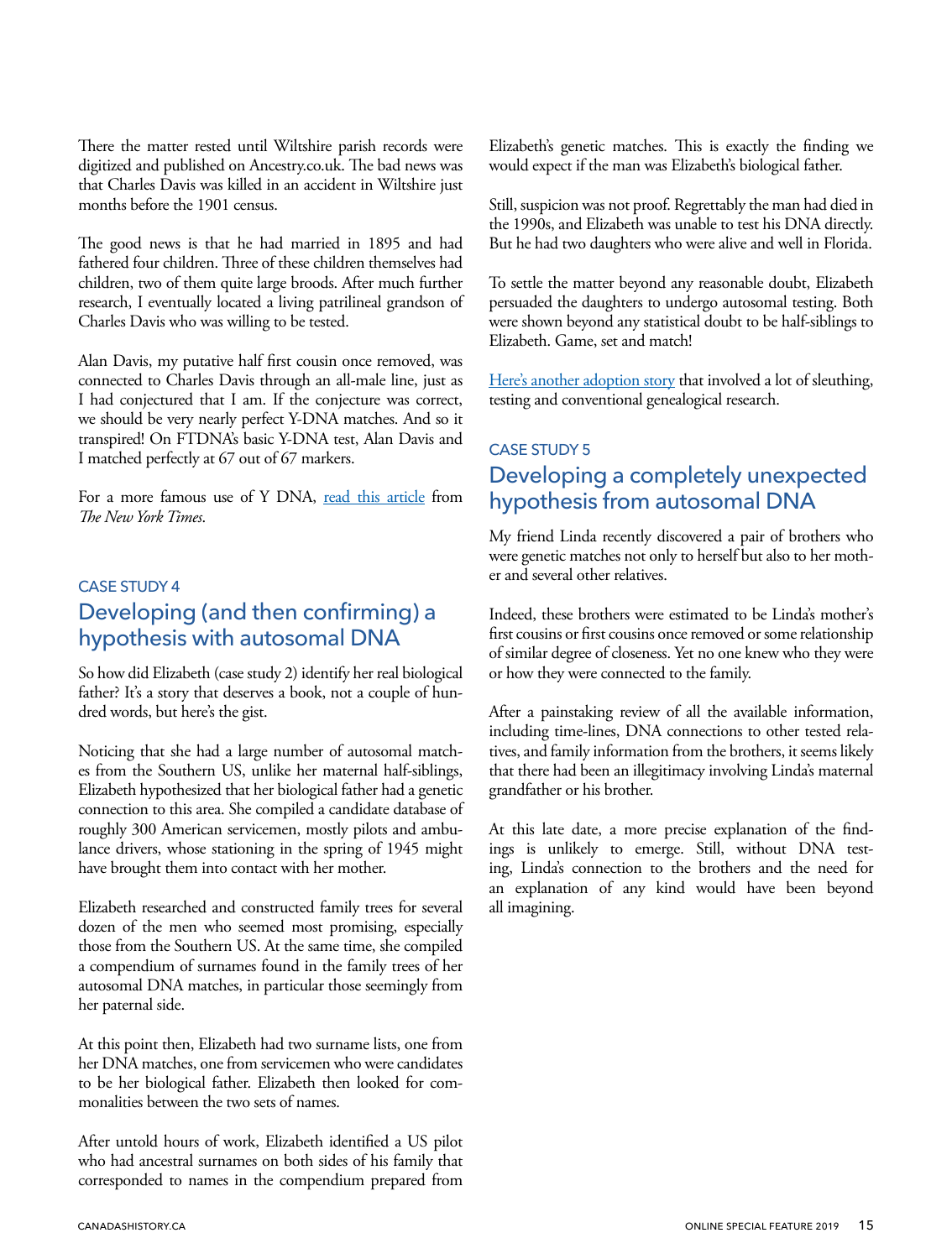<span id="page-14-0"></span>There the matter rested until Wiltshire parish records were digitized and published on Ancestry.co.uk. The bad news was that Charles Davis was killed in an accident in Wiltshire just months before the 1901 census.

The good news is that he had married in 1895 and had fathered four children. Three of these children themselves had children, two of them quite large broods. After much further research, I eventually located a living patrilineal grandson of Charles Davis who was willing to be tested.

Alan Davis, my putative half first cousin once removed, was connected to Charles Davis through an all-male line, just as I had conjectured that I am. If the conjecture was correct, we should be very nearly perfect Y-DNA matches. And so it transpired! On FTDNA's basic Y-DNA test, Alan Davis and I matched perfectly at 67 out of 67 markers.

For a more famous use of Y DNA, [read this article](https://www.nytimes.com/1998/11/01/us/dna-test-finds-evidence-of-jefferson-child-by-slave.html) from *The New York Times*.

## CASE STUDY 4 Developing (and then confirming) a hypothesis with autosomal DNA

So how did Elizabeth (case study 2) identify her real biological father? It's a story that deserves a book, not a couple of hundred words, but here's the gist.

Noticing that she had a large number of autosomal matches from the Southern US, unlike her maternal half-siblings, Elizabeth hypothesized that her biological father had a genetic connection to this area. She compiled a candidate database of roughly 300 American servicemen, mostly pilots and ambulance drivers, whose stationing in the spring of 1945 might have brought them into contact with her mother.

Elizabeth researched and constructed family trees for several dozen of the men who seemed most promising, especially those from the Southern US. At the same time, she compiled a compendium of surnames found in the family trees of her autosomal DNA matches, in particular those seemingly from her paternal side.

At this point then, Elizabeth had two surname lists, one from her DNA matches, one from servicemen who were candidates to be her biological father. Elizabeth then looked for commonalities between the two sets of names.

After untold hours of work, Elizabeth identified a US pilot who had ancestral surnames on both sides of his family that corresponded to names in the compendium prepared from

Elizabeth's genetic matches. This is exactly the finding we would expect if the man was Elizabeth's biological father.

Still, suspicion was not proof. Regrettably the man had died in the 1990s, and Elizabeth was unable to test his DNA directly. But he had two daughters who were alive and well in Florida.

To settle the matter beyond any reasonable doubt, Elizabeth persuaded the daughters to undergo autosomal testing. Both were shown beyond any statistical doubt to be half-siblings to Elizabeth. Game, set and match!

[Here's another adoption story](https://noapologiesforbeingme.blogspot.com/2019/01/i-am-living-legacy-to-leader-of-band.html?fbclid=IwAR0doaaL8vjgOQDrwfMV_aoyaELqnCxoBlQ8JiZxGgkkfkljKYv0SswDddU) that involved a lot of sleuthing, testing and conventional genealogical research.

## CASE STUDY 5 Developing a completely unexpected hypothesis from autosomal DNA

My friend Linda recently discovered a pair of brothers who were genetic matches not only to herself but also to her mother and several other relatives.

Indeed, these brothers were estimated to be Linda's mother's first cousins or first cousins once removed or some relationship of similar degree of closeness. Yet no one knew who they were or how they were connected to the family.

After a painstaking review of all the available information, including time-lines, DNA connections to other tested relatives, and family information from the brothers, it seems likely that there had been an illegitimacy involving Linda's maternal grandfather or his brother.

At this late date, a more precise explanation of the findings is unlikely to emerge. Still, without DNA testing, Linda's connection to the brothers and the need for an explanation of any kind would have been beyond all imagining.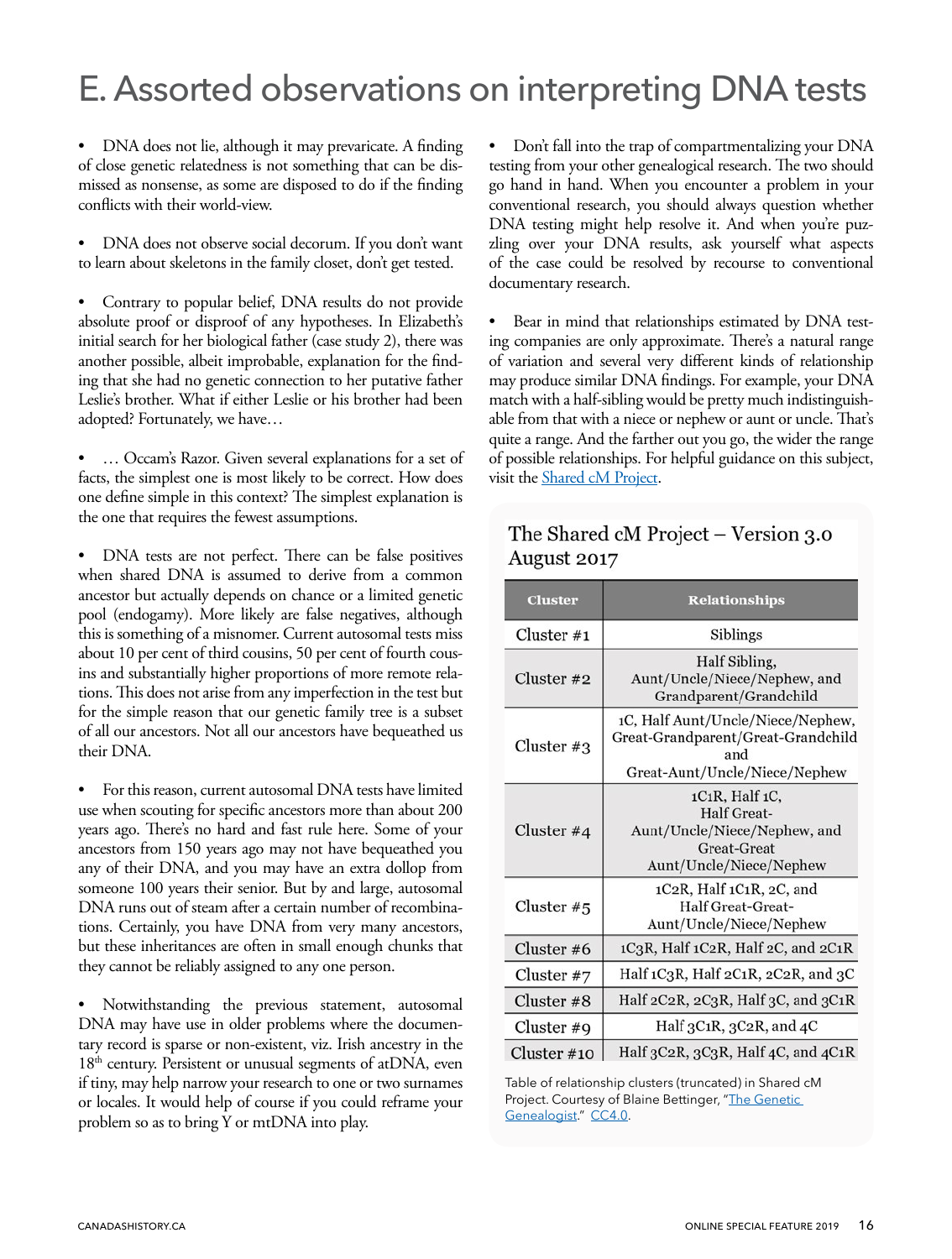## <span id="page-15-0"></span>E. Assorted observations on interpreting DNA tests

• DNA does not lie, although it may prevaricate. A finding of close genetic relatedness is not something that can be dismissed as nonsense, as some are disposed to do if the finding conflicts with their world-view.

• DNA does not observe social decorum. If you don't want to learn about skeletons in the family closet, don't get tested.

• Contrary to popular belief, DNA results do not provide absolute proof or disproof of any hypotheses. In Elizabeth's initial search for her biological father (case study 2), there was another possible, albeit improbable, explanation for the finding that she had no genetic connection to her putative father Leslie's brother. What if either Leslie or his brother had been adopted? Fortunately, we have…

• … Occam's Razor. Given several explanations for a set of facts, the simplest one is most likely to be correct. How does one define simple in this context? The simplest explanation is the one that requires the fewest assumptions.

• DNA tests are not perfect. There can be false positives when shared DNA is assumed to derive from a common ancestor but actually depends on chance or a limited genetic pool (endogamy). More likely are false negatives, although this is something of a misnomer. Current autosomal tests miss about 10 per cent of third cousins, 50 per cent of fourth cousins and substantially higher proportions of more remote relations. This does not arise from any imperfection in the test but for the simple reason that our genetic family tree is a subset of all our ancestors. Not all our ancestors have bequeathed us their DNA.

• For this reason, current autosomal DNA tests have limited use when scouting for specific ancestors more than about 200 years ago. There's no hard and fast rule here. Some of your ancestors from 150 years ago may not have bequeathed you any of their DNA, and you may have an extra dollop from someone 100 years their senior. But by and large, autosomal DNA runs out of steam after a certain number of recombinations. Certainly, you have DNA from very many ancestors, but these inheritances are often in small enough chunks that they cannot be reliably assigned to any one person.

Notwithstanding the previous statement, autosomal DNA may have use in older problems where the documentary record is sparse or non-existent, viz. Irish ancestry in the  $18<sup>th</sup>$  century. Persistent or unusual segments of atDNA, even if tiny, may help narrow your research to one or two surnames or locales. It would help of course if you could reframe your problem so as to bring Y or mtDNA into play.

• Don't fall into the trap of compartmentalizing your DNA testing from your other genealogical research. The two should go hand in hand. When you encounter a problem in your conventional research, you should always question whether DNA testing might help resolve it. And when you're puzzling over your DNA results, ask yourself what aspects of the case could be resolved by recourse to conventional documentary research.

Bear in mind that relationships estimated by DNA testing companies are only approximate. There's a natural range of variation and several very different kinds of relationship may produce similar DNA findings. For example, your DNA match with a half-sibling would be pretty much indistinguishable from that with a niece or nephew or aunt or uncle. That's quite a range. And the farther out you go, the wider the range of possible relationships. For helpful guidance on this subject, visit the **Shared** cM Project.

## The Shared cM Project – Version 3.0 August 2017

| <b>Cluster</b> | <b>Relationships</b>                                                                                            |
|----------------|-----------------------------------------------------------------------------------------------------------------|
| Cluster $#1$   | Siblings                                                                                                        |
| Cluster $#2$   | Half Sibling,<br>Aunt/Uncle/Niece/Nephew, and<br>Grandparent/Grandchild                                         |
| Cluster $#3$   | 1C, Half Aunt/Uncle/Niece/Nephew,<br>Great-Grandparent/Great-Grandchild<br>and<br>Great-Aunt/Uncle/Niece/Nephew |
| Cluster $#4$   | $1C_1R$ , Half $1C$ ,<br>Half Great-<br>Aunt/Uncle/Niece/Nephew, and<br>Great-Great<br>Aunt/Uncle/Niece/Nephew  |
| Cluster $#5$   | 1C2R, Half 1C1R, 2C, and<br><b>Half Great-Great-</b><br>Aunt/Uncle/Niece/Nephew                                 |
| Cluster #6     | 1C3R, Half 1C2R, Half 2C, and 2C1R                                                                              |
| Cluster $#7$   | Half 1C3R, Half 2C1R, 2C2R, and 3C                                                                              |
| Cluster#8      | Half 2C2R, 2C3R, Half 3C, and 3C1R                                                                              |
| Cluster #9     | Half $3C_1R$ , $3C_2R$ , and $4C$                                                                               |
| Cluster $#10$  | Half $3C2R$ , $3C3R$ , Half $4C$ , and $4C1R$                                                                   |

Table of relationship clusters (truncated) in Shared cM Project. Courtesy of Blaine Bettinger, "[The Genetic](https://thegeneticgenealogist.com/2017/08/26/august-2017-update-to-the-shared-cm-project/)  [Genealogist.](https://thegeneticgenealogist.com/2017/08/26/august-2017-update-to-the-shared-cm-project/)" [CC4.0.](https://creativecommons.org/licenses/by/4.0/)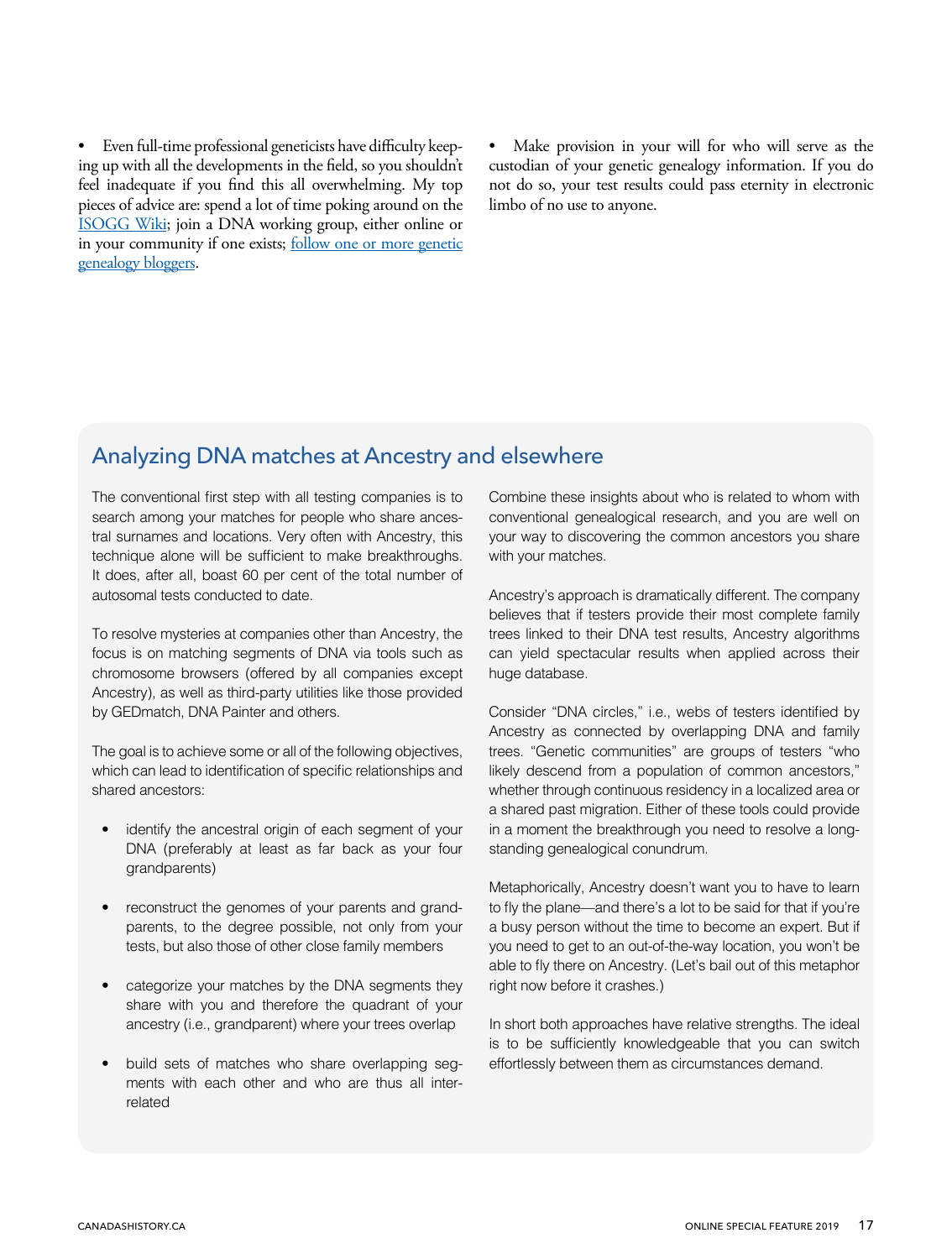<span id="page-16-0"></span>• Even full-time professional geneticists have difficulty keeping up with all the developments in the field, so you shouldn't feel inadequate if you find this all overwhelming. My top pieces of advice are: spend a lot of time poking around on the [ISOGG Wiki](https://isogg.org/wiki/Wiki_Welcome_Page); join a DNA working group, either online or in your community if one exists; [follow one or more genetic](#page-17-0) [genealogy bloggers.](#page-17-0)

Make provision in your will for who will serve as the custodian of your genetic genealogy information. If you do not do so, your test results could pass eternity in electronic limbo of no use to anyone.

## Analyzing DNA matches at Ancestry and elsewhere

The conventional first step with all testing companies is to search among your matches for people who share ancestral surnames and locations. Very often with Ancestry, this technique alone will be sufficient to make breakthroughs. It does, after all, boast 60 per cent of the total number of autosomal tests conducted to date.

To resolve mysteries at companies other than Ancestry, the focus is on matching segments of DNA via tools such as chromosome browsers (offered by all companies except Ancestry), as well as third-party utilities like those provided by GEDmatch, DNA Painter and others.

The goal is to achieve some or all of the following objectives, which can lead to identification of specific relationships and shared ancestors:

- identify the ancestral origin of each segment of your DNA (preferably at least as far back as your four grandparents)
- reconstruct the genomes of your parents and grandparents, to the degree possible, not only from your tests, but also those of other close family members
- categorize your matches by the DNA segments they share with you and therefore the quadrant of your ancestry (i.e., grandparent) where your trees overlap
- build sets of matches who share overlapping segments with each other and who are thus all interrelated

Combine these insights about who is related to whom with conventional genealogical research, and you are well on your way to discovering the common ancestors you share with your matches.

Ancestry's approach is dramatically different. The company believes that if testers provide their most complete family trees linked to their DNA test results, Ancestry algorithms can yield spectacular results when applied across their huge database.

Consider "DNA circles," i.e., webs of testers identified by Ancestry as connected by overlapping DNA and family trees. "Genetic communities" are groups of testers "who likely descend from a population of common ancestors," whether through continuous residency in a localized area or a shared past migration. Either of these tools could provide in a moment the breakthrough you need to resolve a longstanding genealogical conundrum.

Metaphorically, Ancestry doesn't want you to have to learn to fly the plane—and there's a lot to be said for that if you're a busy person without the time to become an expert. But if you need to get to an out-of-the-way location, you won't be able to fly there on Ancestry. (Let's bail out of this metaphor right now before it crashes.)

In short both approaches have relative strengths. The ideal is to be sufficiently knowledgeable that you can switch effortlessly between them as circumstances demand.